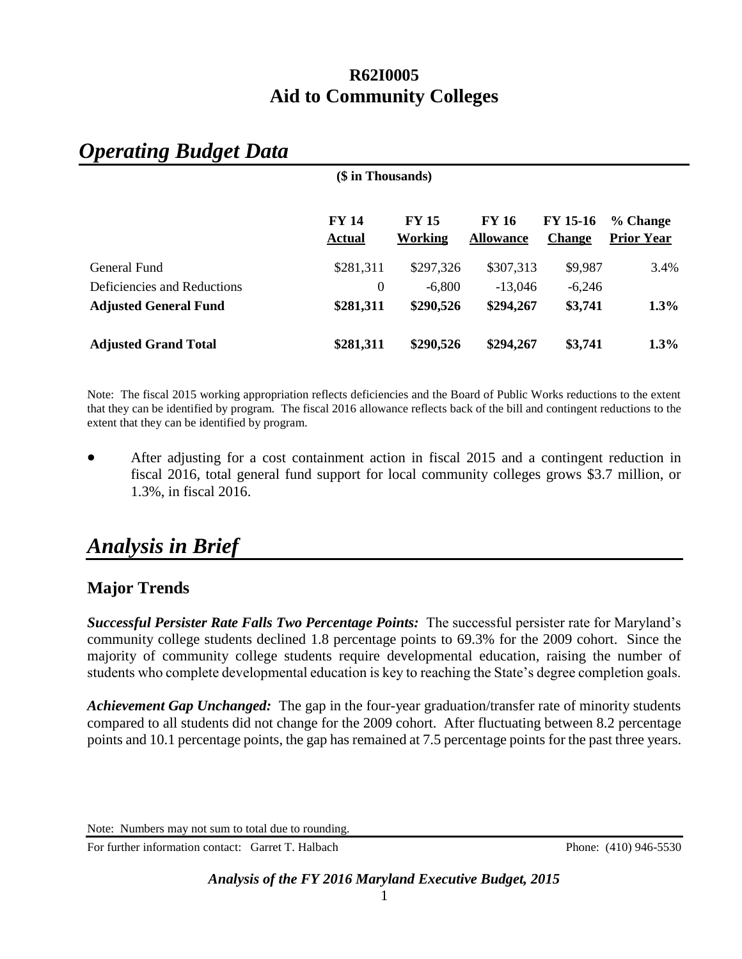# *Operating Budget Data*

|                              | (\$ in Thousands)             |                         |                                  |                                  |                               |  |  |
|------------------------------|-------------------------------|-------------------------|----------------------------------|----------------------------------|-------------------------------|--|--|
|                              | <b>FY 14</b><br><b>Actual</b> | <b>FY 15</b><br>Working | <b>FY 16</b><br><b>Allowance</b> | <b>FY 15-16</b><br><b>Change</b> | % Change<br><b>Prior Year</b> |  |  |
| General Fund                 | \$281,311                     | \$297,326               | \$307,313                        | \$9,987                          | 3.4%                          |  |  |
| Deficiencies and Reductions  | $\theta$                      | $-6,800$                | $-13.046$                        | $-6,246$                         |                               |  |  |
| <b>Adjusted General Fund</b> | \$281,311                     | \$290,526               | \$294,267                        | \$3,741                          | $1.3\%$                       |  |  |
| <b>Adjusted Grand Total</b>  | \$281,311                     | \$290,526               | \$294,267                        | \$3,741                          | $1.3\%$                       |  |  |

Note: The fiscal 2015 working appropriation reflects deficiencies and the Board of Public Works reductions to the extent that they can be identified by program. The fiscal 2016 allowance reflects back of the bill and contingent reductions to the extent that they can be identified by program.

 After adjusting for a cost containment action in fiscal 2015 and a contingent reduction in fiscal 2016, total general fund support for local community colleges grows \$3.7 million, or 1.3%, in fiscal 2016.

# *Analysis in Brief*

## **Major Trends**

*Successful Persister Rate Falls Two Percentage Points:* The successful persister rate for Maryland's community college students declined 1.8 percentage points to 69.3% for the 2009 cohort. Since the majority of community college students require developmental education, raising the number of students who complete developmental education is key to reaching the State's degree completion goals.

*Achievement Gap Unchanged:* The gap in the four-year graduation/transfer rate of minority students compared to all students did not change for the 2009 cohort. After fluctuating between 8.2 percentage points and 10.1 percentage points, the gap has remained at 7.5 percentage points for the past three years.

For further information contact: Garret T. Halbach Phone: (410) 946-5530

Note: Numbers may not sum to total due to rounding.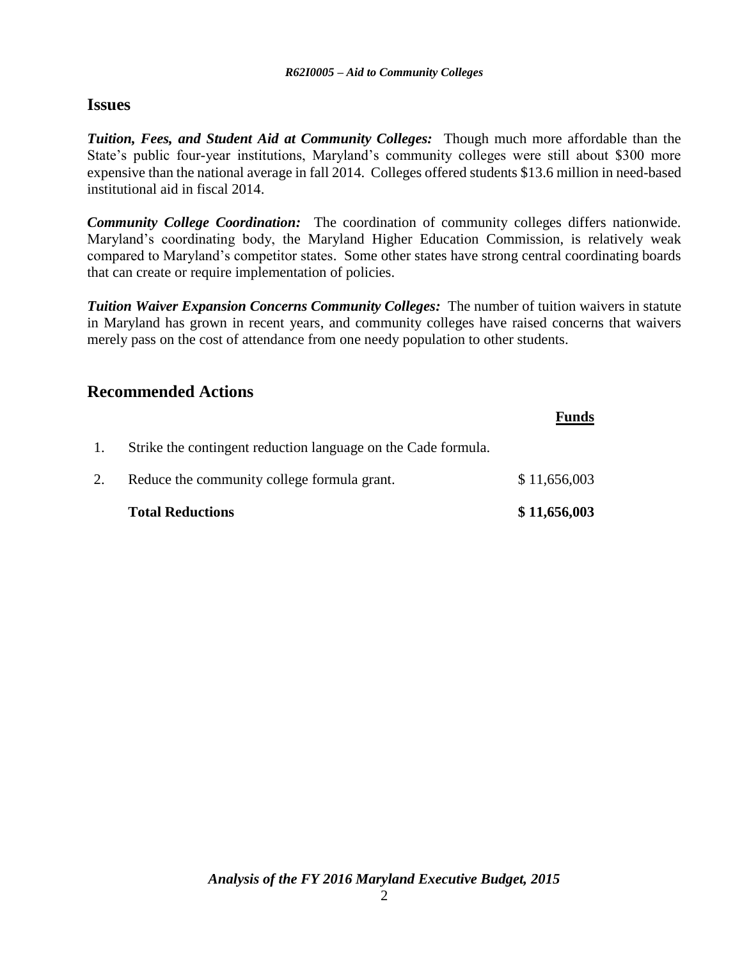## **Issues**

*Tuition, Fees, and Student Aid at Community Colleges:* Though much more affordable than the State's public four-year institutions, Maryland's community colleges were still about \$300 more expensive than the national average in fall 2014. Colleges offered students \$13.6 million in need-based institutional aid in fiscal 2014.

*Community College Coordination:* The coordination of community colleges differs nationwide. Maryland's coordinating body, the Maryland Higher Education Commission, is relatively weak compared to Maryland's competitor states. Some other states have strong central coordinating boards that can create or require implementation of policies.

*Tuition Waiver Expansion Concerns Community Colleges:* The number of tuition waivers in statute in Maryland has grown in recent years, and community colleges have raised concerns that waivers merely pass on the cost of attendance from one needy population to other students.

## **Recommended Actions**

|    | <b>Total Reductions</b>                                       | \$11,656,003 |
|----|---------------------------------------------------------------|--------------|
| 2. | Reduce the community college formula grant.                   | \$11,656,003 |
| 1. | Strike the contingent reduction language on the Cade formula. |              |
|    |                                                               | <b>Funds</b> |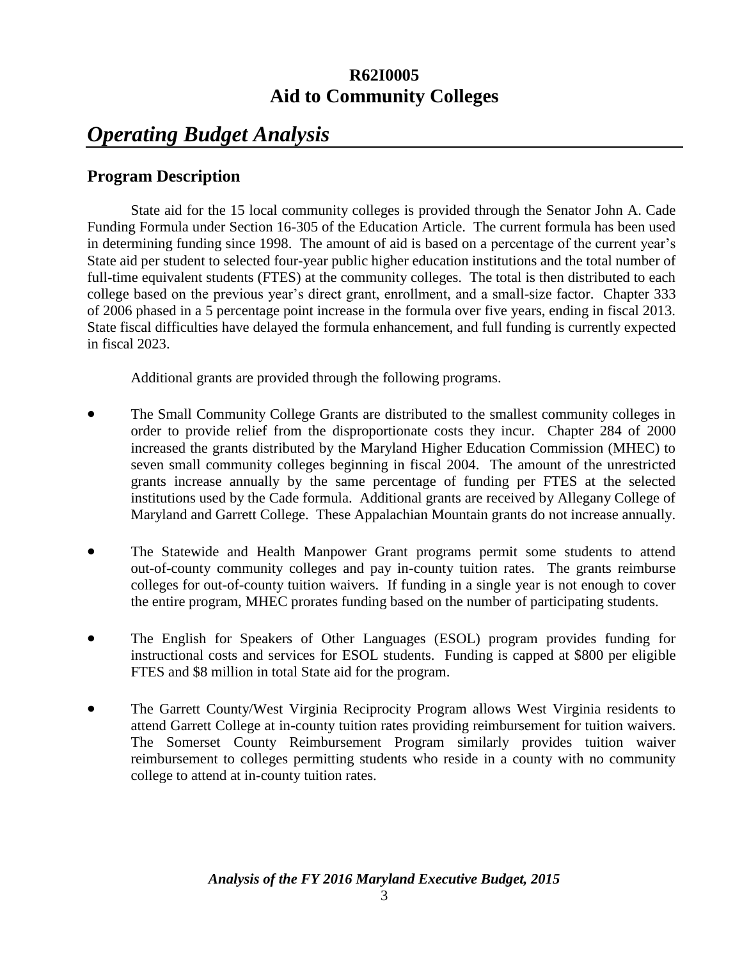# *Operating Budget Analysis*

## **Program Description**

State aid for the 15 local community colleges is provided through the Senator John A. Cade Funding Formula under Section 16-305 of the Education Article. The current formula has been used in determining funding since 1998. The amount of aid is based on a percentage of the current year's State aid per student to selected four-year public higher education institutions and the total number of full-time equivalent students (FTES) at the community colleges. The total is then distributed to each college based on the previous year's direct grant, enrollment, and a small-size factor. Chapter 333 of 2006 phased in a 5 percentage point increase in the formula over five years, ending in fiscal 2013. State fiscal difficulties have delayed the formula enhancement, and full funding is currently expected in fiscal 2023.

Additional grants are provided through the following programs.

- The Small Community College Grants are distributed to the smallest community colleges in order to provide relief from the disproportionate costs they incur. Chapter 284 of 2000 increased the grants distributed by the Maryland Higher Education Commission (MHEC) to seven small community colleges beginning in fiscal 2004. The amount of the unrestricted grants increase annually by the same percentage of funding per FTES at the selected institutions used by the Cade formula. Additional grants are received by Allegany College of Maryland and Garrett College. These Appalachian Mountain grants do not increase annually.
- The Statewide and Health Manpower Grant programs permit some students to attend out-of-county community colleges and pay in-county tuition rates. The grants reimburse colleges for out-of-county tuition waivers. If funding in a single year is not enough to cover the entire program, MHEC prorates funding based on the number of participating students.
- The English for Speakers of Other Languages (ESOL) program provides funding for instructional costs and services for ESOL students. Funding is capped at \$800 per eligible FTES and \$8 million in total State aid for the program.
- The Garrett County/West Virginia Reciprocity Program allows West Virginia residents to attend Garrett College at in-county tuition rates providing reimbursement for tuition waivers. The Somerset County Reimbursement Program similarly provides tuition waiver reimbursement to colleges permitting students who reside in a county with no community college to attend at in-county tuition rates.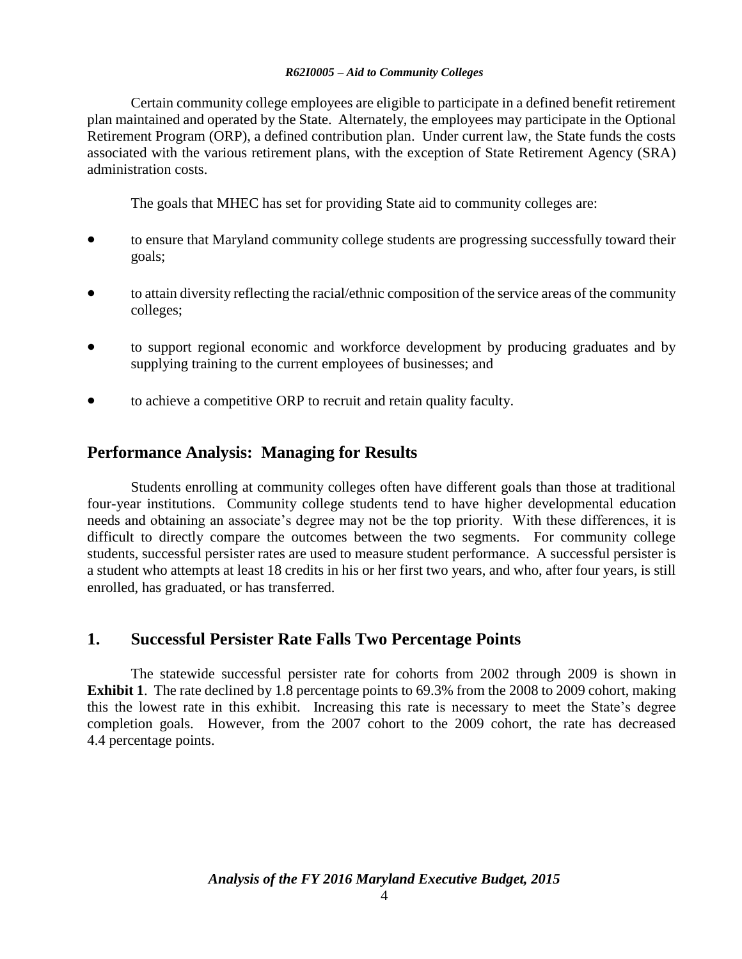Certain community college employees are eligible to participate in a defined benefit retirement plan maintained and operated by the State. Alternately, the employees may participate in the Optional Retirement Program (ORP), a defined contribution plan. Under current law, the State funds the costs associated with the various retirement plans, with the exception of State Retirement Agency (SRA) administration costs.

The goals that MHEC has set for providing State aid to community colleges are:

- to ensure that Maryland community college students are progressing successfully toward their goals;
- to attain diversity reflecting the racial/ethnic composition of the service areas of the community colleges;
- to support regional economic and workforce development by producing graduates and by supplying training to the current employees of businesses; and
- to achieve a competitive ORP to recruit and retain quality faculty.

## **Performance Analysis: Managing for Results**

Students enrolling at community colleges often have different goals than those at traditional four-year institutions. Community college students tend to have higher developmental education needs and obtaining an associate's degree may not be the top priority. With these differences, it is difficult to directly compare the outcomes between the two segments. For community college students, successful persister rates are used to measure student performance. A successful persister is a student who attempts at least 18 credits in his or her first two years, and who, after four years, is still enrolled, has graduated, or has transferred.

## **1. Successful Persister Rate Falls Two Percentage Points**

The statewide successful persister rate for cohorts from 2002 through 2009 is shown in **Exhibit 1**. The rate declined by 1.8 percentage points to 69.3% from the 2008 to 2009 cohort, making this the lowest rate in this exhibit. Increasing this rate is necessary to meet the State's degree completion goals. However, from the 2007 cohort to the 2009 cohort, the rate has decreased 4.4 percentage points.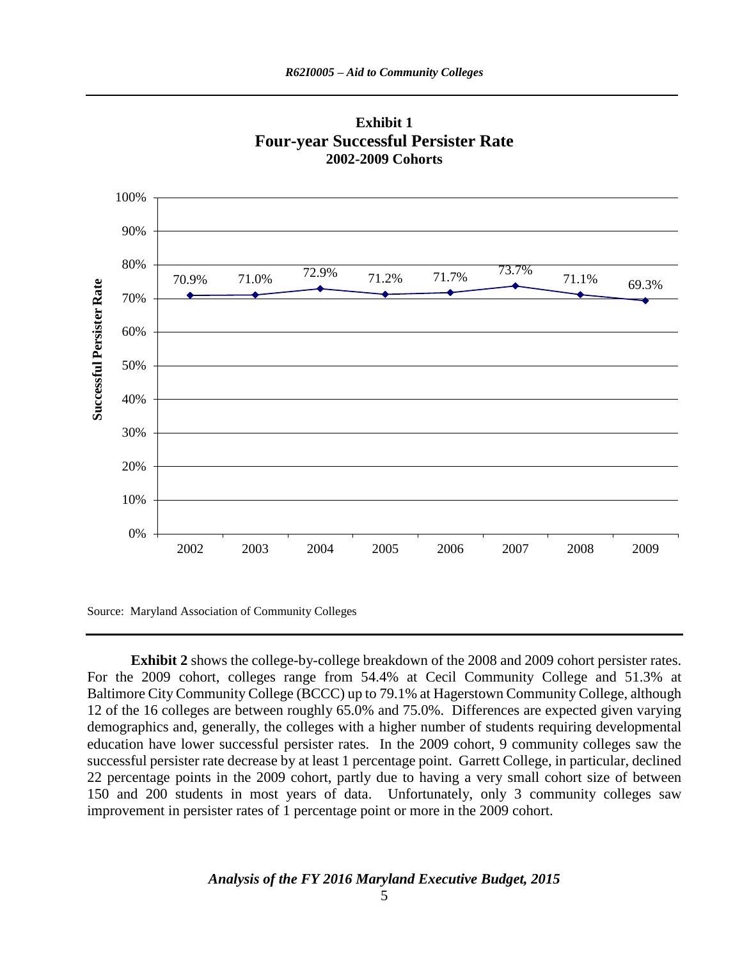

**Exhibit 1 Four-year Successful Persister Rate 2002-2009 Cohorts**

Source: Maryland Association of Community Colleges

**Exhibit 2** shows the college-by-college breakdown of the 2008 and 2009 cohort persister rates. For the 2009 cohort, colleges range from 54.4% at Cecil Community College and 51.3% at Baltimore City Community College (BCCC) up to 79.1% at Hagerstown Community College, although 12 of the 16 colleges are between roughly 65.0% and 75.0%. Differences are expected given varying demographics and, generally, the colleges with a higher number of students requiring developmental education have lower successful persister rates. In the 2009 cohort, 9 community colleges saw the successful persister rate decrease by at least 1 percentage point. Garrett College, in particular, declined 22 percentage points in the 2009 cohort, partly due to having a very small cohort size of between 150 and 200 students in most years of data. Unfortunately, only 3 community colleges saw improvement in persister rates of 1 percentage point or more in the 2009 cohort.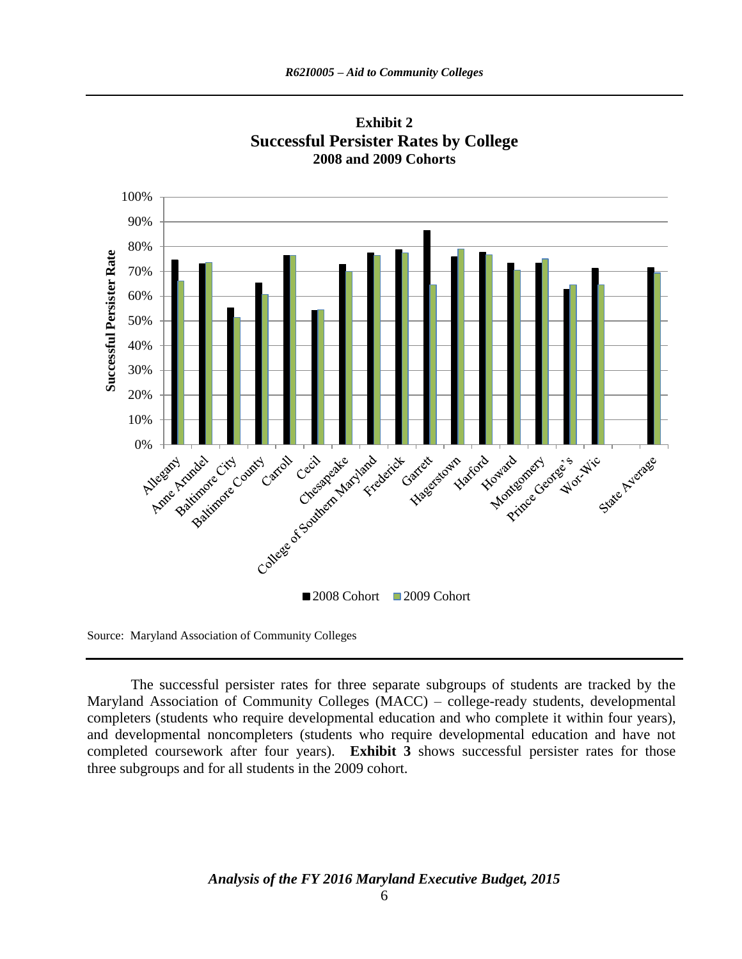

**Exhibit 2 Successful Persister Rates by College 2008 and 2009 Cohorts**

Source: Maryland Association of Community Colleges

The successful persister rates for three separate subgroups of students are tracked by the Maryland Association of Community Colleges (MACC) – college-ready students, developmental completers (students who require developmental education and who complete it within four years), and developmental noncompleters (students who require developmental education and have not completed coursework after four years). **Exhibit 3** shows successful persister rates for those three subgroups and for all students in the 2009 cohort.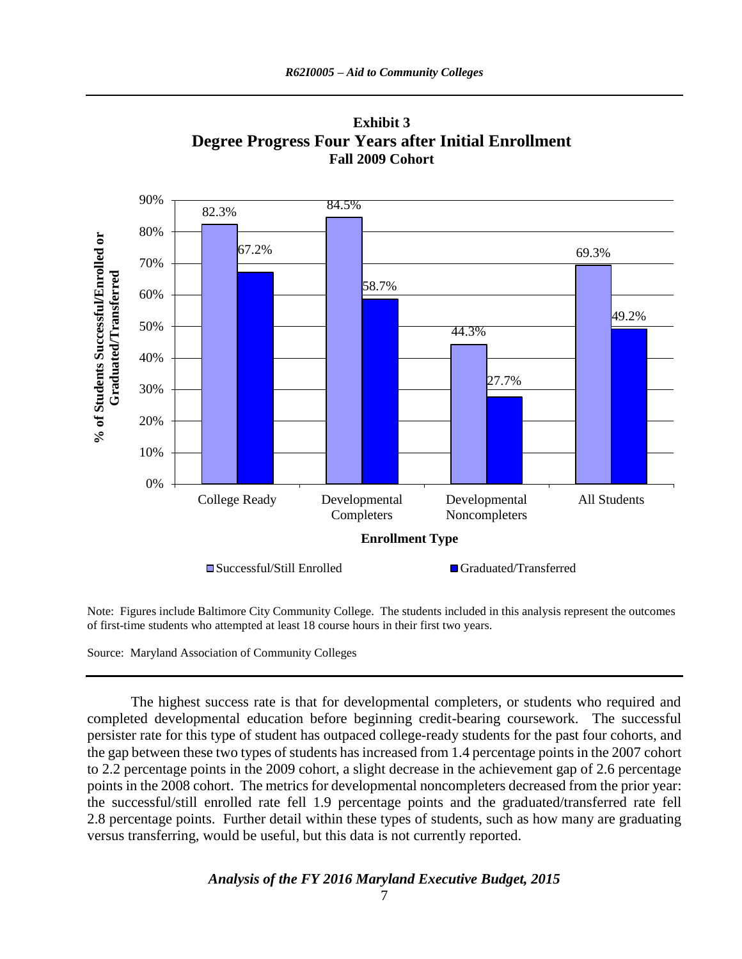

**Exhibit 3 Degree Progress Four Years after Initial Enrollment Fall 2009 Cohort**

Note: Figures include Baltimore City Community College. The students included in this analysis represent the outcomes of first-time students who attempted at least 18 course hours in their first two years.

Source: Maryland Association of Community Colleges

The highest success rate is that for developmental completers, or students who required and completed developmental education before beginning credit-bearing coursework. The successful persister rate for this type of student has outpaced college-ready students for the past four cohorts, and the gap between these two types of students has increased from 1.4 percentage points in the 2007 cohort to 2.2 percentage points in the 2009 cohort, a slight decrease in the achievement gap of 2.6 percentage points in the 2008 cohort. The metrics for developmental noncompleters decreased from the prior year: the successful/still enrolled rate fell 1.9 percentage points and the graduated/transferred rate fell 2.8 percentage points. Further detail within these types of students, such as how many are graduating versus transferring, would be useful, but this data is not currently reported.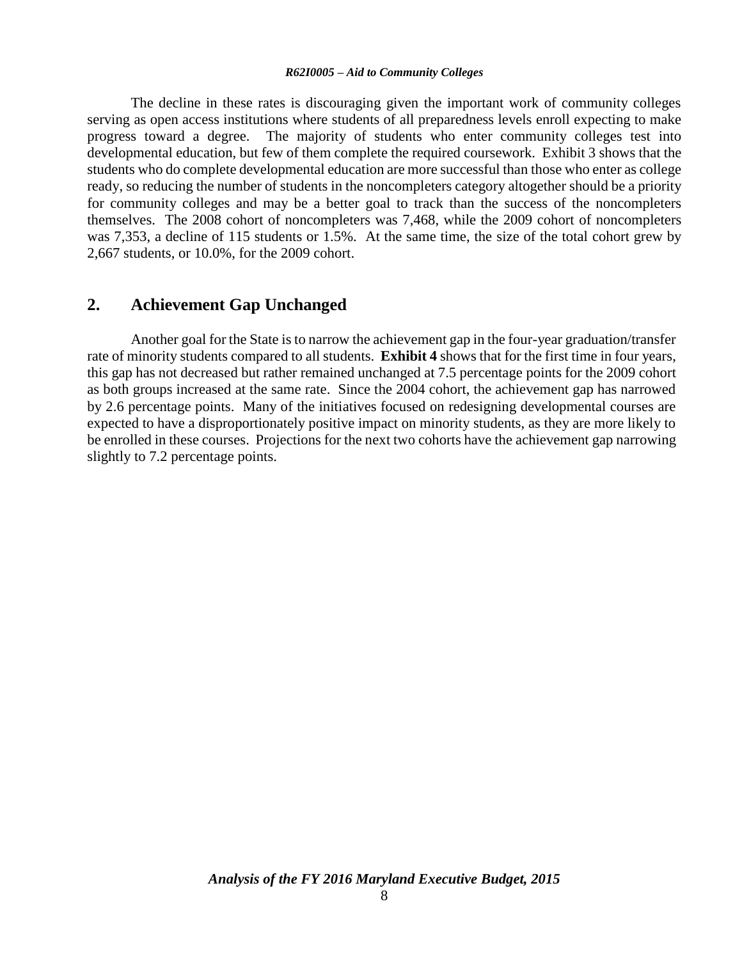The decline in these rates is discouraging given the important work of community colleges serving as open access institutions where students of all preparedness levels enroll expecting to make progress toward a degree. The majority of students who enter community colleges test into developmental education, but few of them complete the required coursework. Exhibit 3 shows that the students who do complete developmental education are more successful than those who enter as college ready, so reducing the number of students in the noncompleters category altogether should be a priority for community colleges and may be a better goal to track than the success of the noncompleters themselves. The 2008 cohort of noncompleters was 7,468, while the 2009 cohort of noncompleters was 7,353, a decline of 115 students or 1.5%. At the same time, the size of the total cohort grew by 2,667 students, or 10.0%, for the 2009 cohort.

### **2. Achievement Gap Unchanged**

Another goal for the State is to narrow the achievement gap in the four-year graduation/transfer rate of minority students compared to all students. **Exhibit 4** shows that for the first time in four years, this gap has not decreased but rather remained unchanged at 7.5 percentage points for the 2009 cohort as both groups increased at the same rate. Since the 2004 cohort, the achievement gap has narrowed by 2.6 percentage points. Many of the initiatives focused on redesigning developmental courses are expected to have a disproportionately positive impact on minority students, as they are more likely to be enrolled in these courses. Projections for the next two cohorts have the achievement gap narrowing slightly to 7.2 percentage points.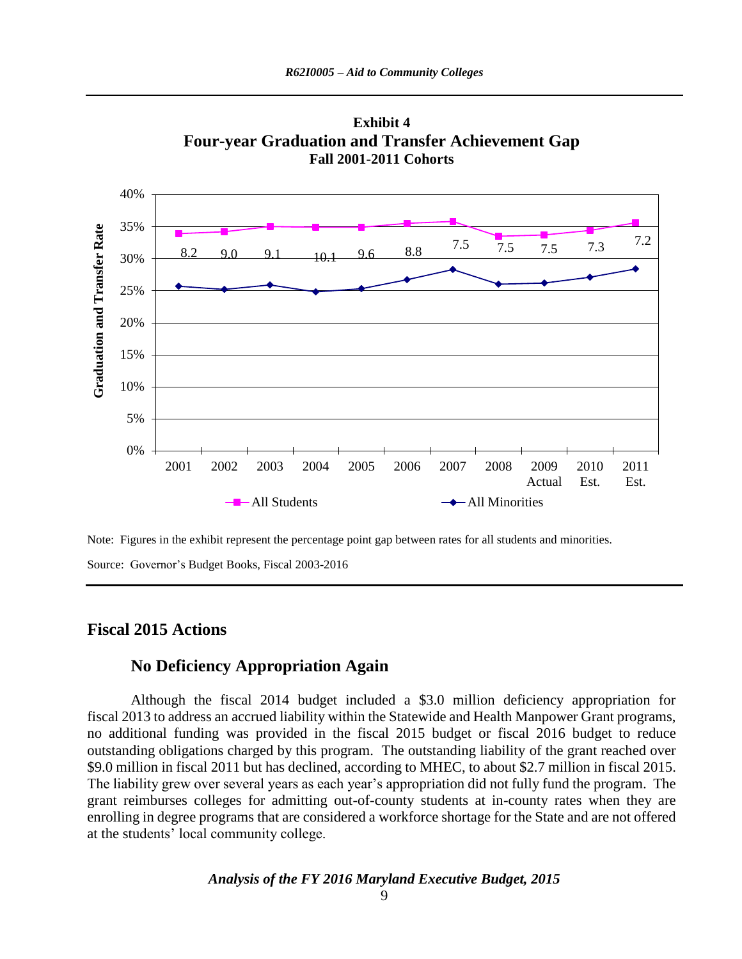



Note: Figures in the exhibit represent the percentage point gap between rates for all students and minorities.

Source: Governor's Budget Books, Fiscal 2003-2016

### **Fiscal 2015 Actions**

## **No Deficiency Appropriation Again**

Although the fiscal 2014 budget included a \$3.0 million deficiency appropriation for fiscal 2013 to address an accrued liability within the Statewide and Health Manpower Grant programs, no additional funding was provided in the fiscal 2015 budget or fiscal 2016 budget to reduce outstanding obligations charged by this program. The outstanding liability of the grant reached over \$9.0 million in fiscal 2011 but has declined, according to MHEC, to about \$2.7 million in fiscal 2015. The liability grew over several years as each year's appropriation did not fully fund the program. The grant reimburses colleges for admitting out-of-county students at in-county rates when they are enrolling in degree programs that are considered a workforce shortage for the State and are not offered at the students' local community college.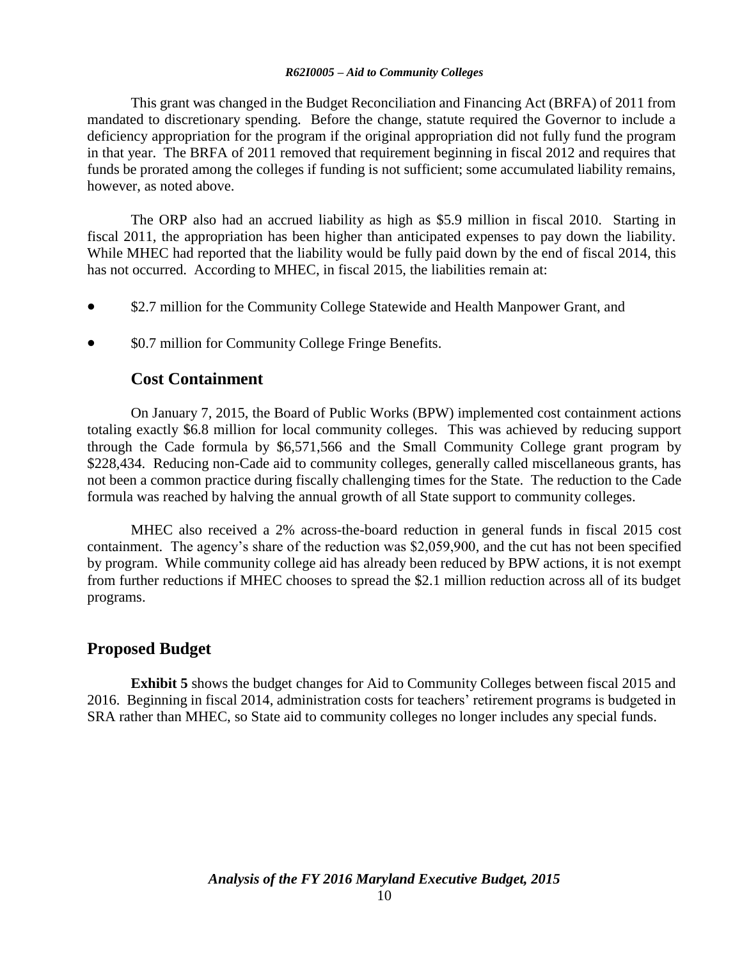This grant was changed in the Budget Reconciliation and Financing Act (BRFA) of 2011 from mandated to discretionary spending. Before the change, statute required the Governor to include a deficiency appropriation for the program if the original appropriation did not fully fund the program in that year. The BRFA of 2011 removed that requirement beginning in fiscal 2012 and requires that funds be prorated among the colleges if funding is not sufficient; some accumulated liability remains, however, as noted above.

The ORP also had an accrued liability as high as \$5.9 million in fiscal 2010. Starting in fiscal 2011, the appropriation has been higher than anticipated expenses to pay down the liability. While MHEC had reported that the liability would be fully paid down by the end of fiscal 2014, this has not occurred. According to MHEC, in fiscal 2015, the liabilities remain at:

- \$2.7 million for the Community College Statewide and Health Manpower Grant, and
- \$0.7 million for Community College Fringe Benefits.

## **Cost Containment**

On January 7, 2015, the Board of Public Works (BPW) implemented cost containment actions totaling exactly \$6.8 million for local community colleges. This was achieved by reducing support through the Cade formula by \$6,571,566 and the Small Community College grant program by \$228,434. Reducing non-Cade aid to community colleges, generally called miscellaneous grants, has not been a common practice during fiscally challenging times for the State. The reduction to the Cade formula was reached by halving the annual growth of all State support to community colleges.

MHEC also received a 2% across-the-board reduction in general funds in fiscal 2015 cost containment. The agency's share of the reduction was \$2,059,900, and the cut has not been specified by program. While community college aid has already been reduced by BPW actions, it is not exempt from further reductions if MHEC chooses to spread the \$2.1 million reduction across all of its budget programs.

## **Proposed Budget**

**Exhibit 5** shows the budget changes for Aid to Community Colleges between fiscal 2015 and 2016. Beginning in fiscal 2014, administration costs for teachers' retirement programs is budgeted in SRA rather than MHEC, so State aid to community colleges no longer includes any special funds.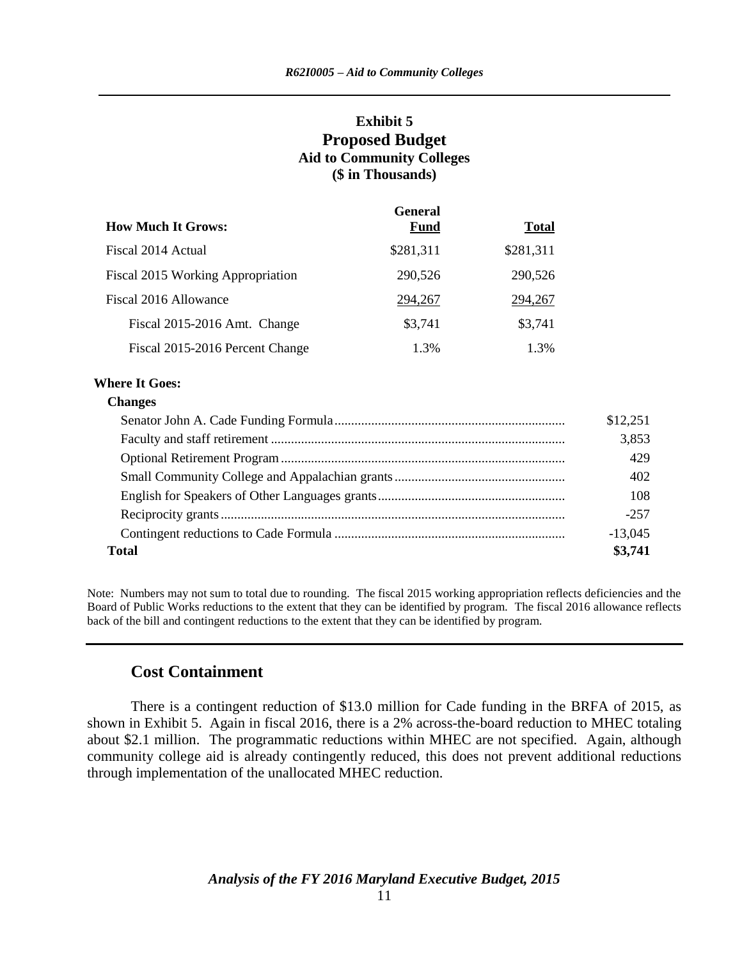### **Exhibit 5 Proposed Budget Aid to Community Colleges (\$ in Thousands)**

|                                          | <b>General</b> |              |
|------------------------------------------|----------------|--------------|
| <b>How Much It Grows:</b>                | <b>Fund</b>    | <b>Total</b> |
| Fiscal 2014 Actual                       | \$281,311      | \$281,311    |
| <b>Fiscal 2015 Working Appropriation</b> | 290,526        | 290,526      |
| Fiscal 2016 Allowance                    | 294,267        | 294,267      |
| Fiscal 2015-2016 Amt. Change             | \$3,741        | \$3,741      |
| Fiscal 2015-2016 Percent Change          | 1.3%           | 1.3%         |

### **Where It Goes:**

#### **Changes**

|       | \$12,251  |
|-------|-----------|
|       | 3,853     |
|       | 429       |
|       | 402       |
|       | 108       |
|       | $-257$    |
|       | $-13,045$ |
| Total | \$3,741   |

Note: Numbers may not sum to total due to rounding. The fiscal 2015 working appropriation reflects deficiencies and the Board of Public Works reductions to the extent that they can be identified by program. The fiscal 2016 allowance reflects back of the bill and contingent reductions to the extent that they can be identified by program.

### **Cost Containment**

There is a contingent reduction of \$13.0 million for Cade funding in the BRFA of 2015, as shown in Exhibit 5. Again in fiscal 2016, there is a 2% across-the-board reduction to MHEC totaling about \$2.1 million. The programmatic reductions within MHEC are not specified. Again, although community college aid is already contingently reduced, this does not prevent additional reductions through implementation of the unallocated MHEC reduction.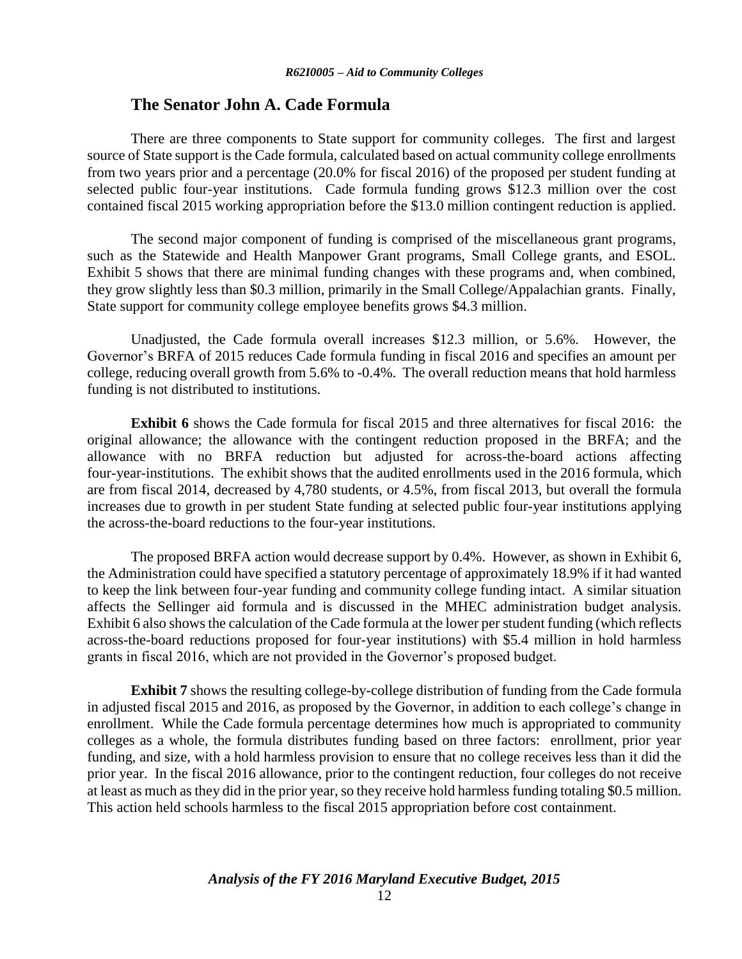### **The Senator John A. Cade Formula**

There are three components to State support for community colleges. The first and largest source of State support is the Cade formula, calculated based on actual community college enrollments from two years prior and a percentage (20.0% for fiscal 2016) of the proposed per student funding at selected public four-year institutions. Cade formula funding grows \$12.3 million over the cost contained fiscal 2015 working appropriation before the \$13.0 million contingent reduction is applied.

The second major component of funding is comprised of the miscellaneous grant programs, such as the Statewide and Health Manpower Grant programs, Small College grants, and ESOL. Exhibit 5 shows that there are minimal funding changes with these programs and, when combined, they grow slightly less than \$0.3 million, primarily in the Small College/Appalachian grants. Finally, State support for community college employee benefits grows \$4.3 million.

Unadjusted, the Cade formula overall increases \$12.3 million, or 5.6%. However, the Governor's BRFA of 2015 reduces Cade formula funding in fiscal 2016 and specifies an amount per college, reducing overall growth from 5.6% to -0.4%. The overall reduction means that hold harmless funding is not distributed to institutions.

**Exhibit 6** shows the Cade formula for fiscal 2015 and three alternatives for fiscal 2016: the original allowance; the allowance with the contingent reduction proposed in the BRFA; and the allowance with no BRFA reduction but adjusted for across-the-board actions affecting four-year-institutions. The exhibit shows that the audited enrollments used in the 2016 formula, which are from fiscal 2014, decreased by 4,780 students, or 4.5%, from fiscal 2013, but overall the formula increases due to growth in per student State funding at selected public four-year institutions applying the across-the-board reductions to the four-year institutions.

The proposed BRFA action would decrease support by 0.4%. However, as shown in Exhibit 6, the Administration could have specified a statutory percentage of approximately 18.9% if it had wanted to keep the link between four-year funding and community college funding intact. A similar situation affects the Sellinger aid formula and is discussed in the MHEC administration budget analysis. Exhibit 6 also shows the calculation of the Cade formula at the lower per student funding (which reflects across-the-board reductions proposed for four-year institutions) with \$5.4 million in hold harmless grants in fiscal 2016, which are not provided in the Governor's proposed budget.

**Exhibit 7** shows the resulting college-by-college distribution of funding from the Cade formula in adjusted fiscal 2015 and 2016, as proposed by the Governor, in addition to each college's change in enrollment. While the Cade formula percentage determines how much is appropriated to community colleges as a whole, the formula distributes funding based on three factors: enrollment, prior year funding, and size, with a hold harmless provision to ensure that no college receives less than it did the prior year. In the fiscal 2016 allowance, prior to the contingent reduction, four colleges do not receive at least as much as they did in the prior year, so they receive hold harmless funding totaling \$0.5 million. This action held schools harmless to the fiscal 2015 appropriation before cost containment.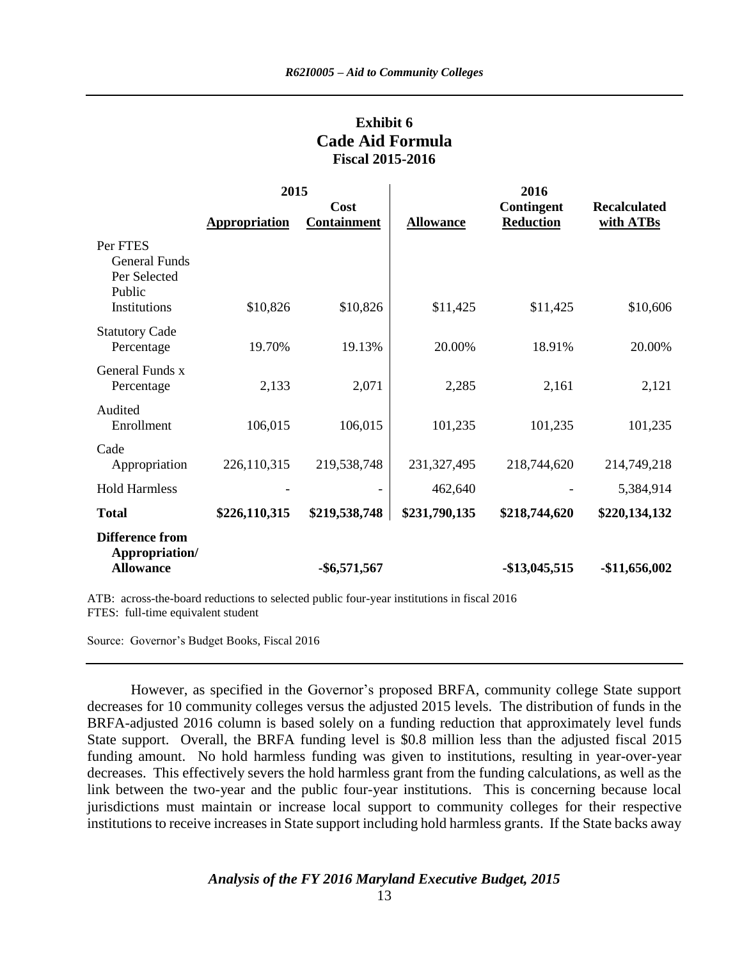## **Exhibit 6 Cade Aid Formula Fiscal 2015-2016**

|                                                                     | 2015                 |                            |                  | 2016                           |                                  |  |
|---------------------------------------------------------------------|----------------------|----------------------------|------------------|--------------------------------|----------------------------------|--|
|                                                                     | <b>Appropriation</b> | Cost<br><b>Containment</b> | <b>Allowance</b> | Contingent<br><b>Reduction</b> | <b>Recalculated</b><br>with ATBs |  |
| Per FTES<br>General Funds<br>Per Selected<br>Public<br>Institutions | \$10,826             | \$10,826                   | \$11,425         | \$11,425                       | \$10,606                         |  |
| <b>Statutory Cade</b><br>Percentage                                 | 19.70%               | 19.13%                     | 20.00%           | 18.91%                         | 20.00%                           |  |
| General Funds x<br>Percentage                                       | 2,133                | 2,071                      | 2,285            | 2,161                          | 2,121                            |  |
| Audited<br>Enrollment                                               | 106,015              | 106,015                    | 101,235          | 101,235                        | 101,235                          |  |
| Cade<br>Appropriation                                               | 226,110,315          | 219,538,748                | 231, 327, 495    | 218,744,620                    | 214,749,218                      |  |
| <b>Hold Harmless</b>                                                |                      |                            | 462,640          |                                | 5,384,914                        |  |
| <b>Total</b>                                                        | \$226,110,315        | \$219,538,748              | \$231,790,135    | \$218,744,620                  | \$220,134,132                    |  |
| <b>Difference from</b><br>Appropriation/<br><b>Allowance</b>        |                      | $-$ \$6,571,567            |                  | $-$13,045,515$                 | $-$11,656,002$                   |  |

ATB: across-the-board reductions to selected public four-year institutions in fiscal 2016 FTES: full-time equivalent student

Source: Governor's Budget Books, Fiscal 2016

However, as specified in the Governor's proposed BRFA, community college State support decreases for 10 community colleges versus the adjusted 2015 levels. The distribution of funds in the BRFA-adjusted 2016 column is based solely on a funding reduction that approximately level funds State support. Overall, the BRFA funding level is \$0.8 million less than the adjusted fiscal 2015 funding amount. No hold harmless funding was given to institutions, resulting in year-over-year decreases. This effectively severs the hold harmless grant from the funding calculations, as well as the link between the two-year and the public four-year institutions. This is concerning because local jurisdictions must maintain or increase local support to community colleges for their respective institutions to receive increases in State support including hold harmless grants. If the State backs away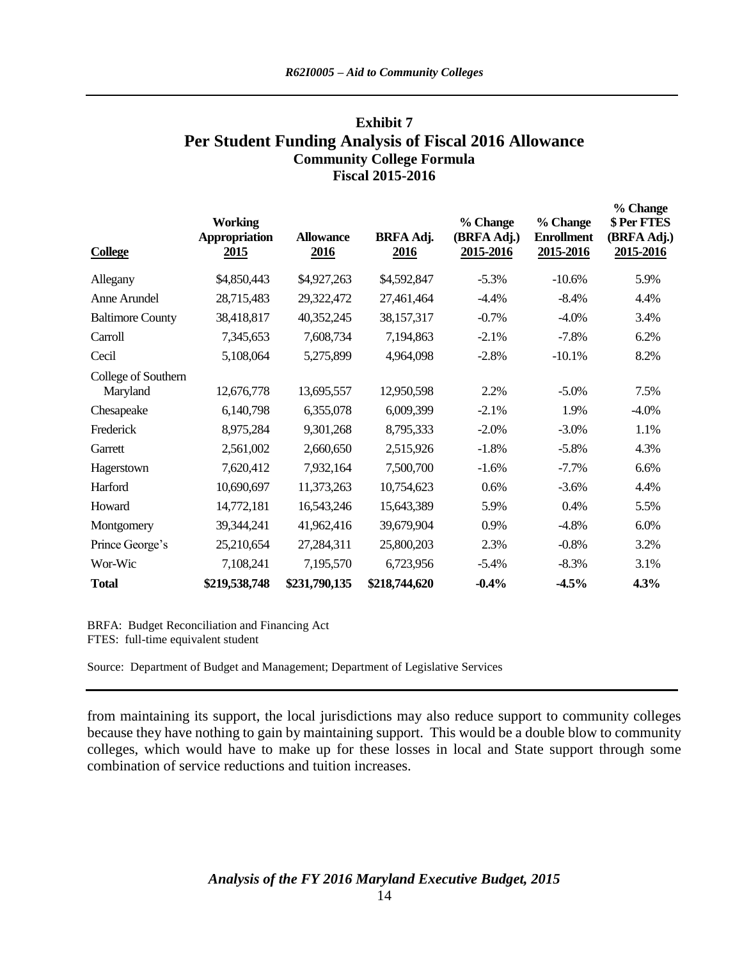## **Exhibit 7 Per Student Funding Analysis of Fiscal 2016 Allowance Community College Formula Fiscal 2015-2016**

 $\theta$  *C*h

| <b>College</b>                  | <b>Working</b><br><b>Appropriation</b><br>2015 | <b>Allowance</b><br>2016 | <b>BRFA Adj.</b><br>2016 | % Change<br>(BRFA Adj.)<br>2015-2016 | % Change<br><b>Enrollment</b><br>2015-2016 | % Change<br>\$ Per FTES<br>(BRFA Adj.)<br>2015-2016 |
|---------------------------------|------------------------------------------------|--------------------------|--------------------------|--------------------------------------|--------------------------------------------|-----------------------------------------------------|
| Allegany                        | \$4,850,443                                    | \$4,927,263              | \$4,592,847              | $-5.3\%$                             | $-10.6%$                                   | 5.9%                                                |
| Anne Arundel                    | 28,715,483                                     | 29,322,472               | 27,461,464               | $-4.4%$                              | $-8.4%$                                    | 4.4%                                                |
| <b>Baltimore County</b>         | 38,418,817                                     | 40,352,245               | 38,157,317               | $-0.7%$                              | $-4.0\%$                                   | 3.4%                                                |
| Carroll                         | 7,345,653                                      | 7,608,734                | 7,194,863                | $-2.1%$                              | $-7.8%$                                    | 6.2%                                                |
| Cecil                           | 5,108,064                                      | 5,275,899                | 4,964,098                | $-2.8%$                              | $-10.1%$                                   | 8.2%                                                |
| College of Southern<br>Maryland | 12,676,778                                     | 13,695,557               | 12,950,598               | 2.2%                                 | $-5.0\%$                                   | 7.5%                                                |
| Chesapeake                      | 6,140,798                                      | 6,355,078                | 6,009,399                | $-2.1%$                              | 1.9%                                       | $-4.0\%$                                            |
| Frederick                       | 8,975,284                                      | 9,301,268                | 8,795,333                | $-2.0%$                              | $-3.0\%$                                   | 1.1%                                                |
| Garrett                         | 2,561,002                                      | 2,660,650                | 2,515,926                | $-1.8%$                              | $-5.8%$                                    | 4.3%                                                |
| Hagerstown                      | 7,620,412                                      | 7,932,164                | 7,500,700                | $-1.6%$                              | $-7.7%$                                    | 6.6%                                                |
| Harford                         | 10,690,697                                     | 11,373,263               | 10,754,623               | 0.6%                                 | $-3.6%$                                    | 4.4%                                                |
| Howard                          | 14,772,181                                     | 16,543,246               | 15,643,389               | 5.9%                                 | 0.4%                                       | 5.5%                                                |
| Montgomery                      | 39,344,241                                     | 41,962,416               | 39,679,904               | 0.9%                                 | $-4.8%$                                    | 6.0%                                                |
| Prince George's                 | 25,210,654                                     | 27,284,311               | 25,800,203               | 2.3%                                 | $-0.8%$                                    | 3.2%                                                |
| Wor-Wic                         | 7,108,241                                      | 7,195,570                | 6,723,956                | $-5.4%$                              | $-8.3%$                                    | 3.1%                                                |
| <b>Total</b>                    | \$219,538,748                                  | \$231,790,135            | \$218,744,620            | $-0.4%$                              | $-4.5%$                                    | 4.3%                                                |

BRFA: Budget Reconciliation and Financing Act FTES: full-time equivalent student

Source: Department of Budget and Management; Department of Legislative Services

from maintaining its support, the local jurisdictions may also reduce support to community colleges because they have nothing to gain by maintaining support. This would be a double blow to community colleges, which would have to make up for these losses in local and State support through some combination of service reductions and tuition increases.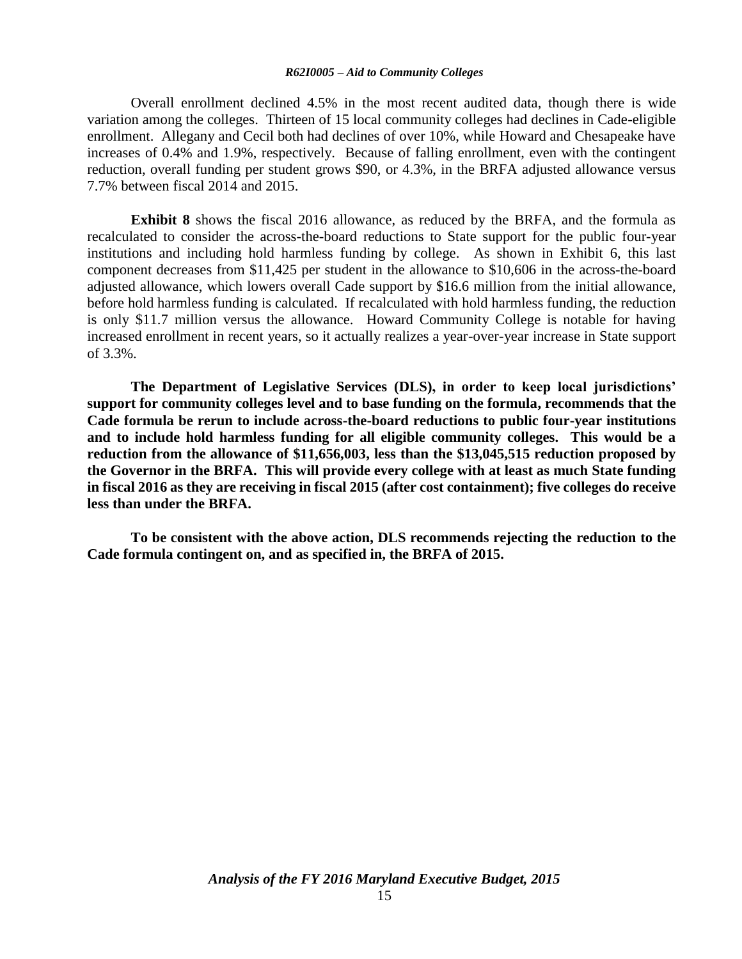Overall enrollment declined 4.5% in the most recent audited data, though there is wide variation among the colleges. Thirteen of 15 local community colleges had declines in Cade-eligible enrollment. Allegany and Cecil both had declines of over 10%, while Howard and Chesapeake have increases of 0.4% and 1.9%, respectively. Because of falling enrollment, even with the contingent reduction, overall funding per student grows \$90, or 4.3%, in the BRFA adjusted allowance versus 7.7% between fiscal 2014 and 2015.

**Exhibit 8** shows the fiscal 2016 allowance, as reduced by the BRFA, and the formula as recalculated to consider the across-the-board reductions to State support for the public four-year institutions and including hold harmless funding by college. As shown in Exhibit 6, this last component decreases from \$11,425 per student in the allowance to \$10,606 in the across-the-board adjusted allowance, which lowers overall Cade support by \$16.6 million from the initial allowance, before hold harmless funding is calculated. If recalculated with hold harmless funding, the reduction is only \$11.7 million versus the allowance. Howard Community College is notable for having increased enrollment in recent years, so it actually realizes a year-over-year increase in State support of 3.3%.

**The Department of Legislative Services (DLS), in order to keep local jurisdictions' support for community colleges level and to base funding on the formula, recommends that the Cade formula be rerun to include across-the-board reductions to public four-year institutions and to include hold harmless funding for all eligible community colleges. This would be a reduction from the allowance of \$11,656,003, less than the \$13,045,515 reduction proposed by the Governor in the BRFA. This will provide every college with at least as much State funding in fiscal 2016 as they are receiving in fiscal 2015 (after cost containment); five colleges do receive less than under the BRFA.** 

**To be consistent with the above action, DLS recommends rejecting the reduction to the Cade formula contingent on, and as specified in, the BRFA of 2015.**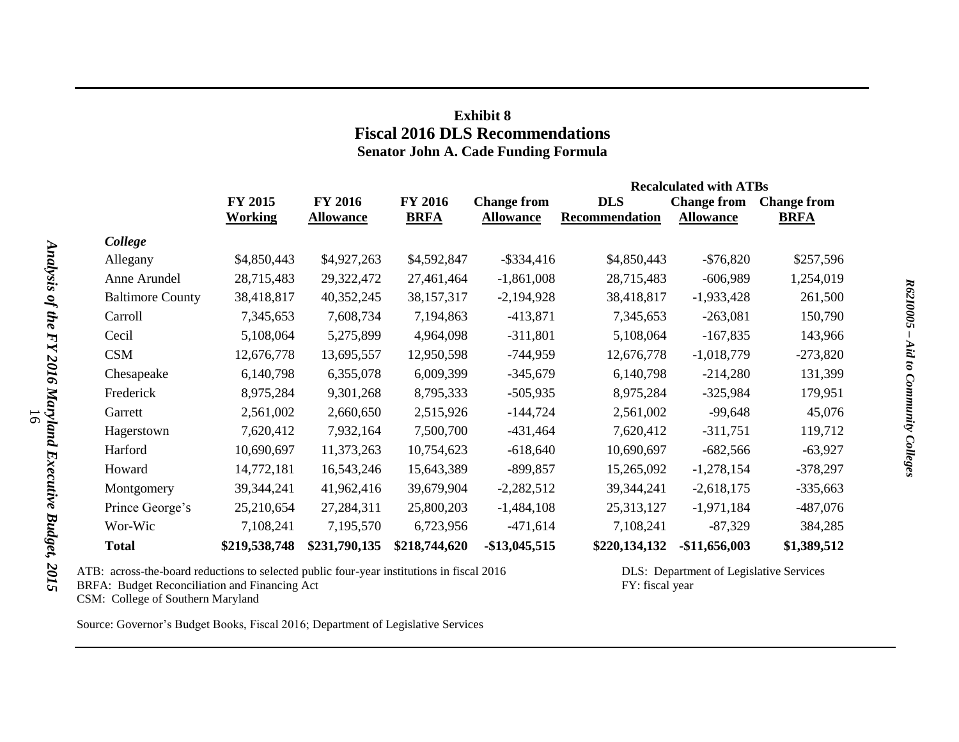## **Exhibit 8 Fiscal 2016 DLS Recommendations Senator John A. Cade Funding Formula**

|                         |                |                  |                |                    |                | <b>Recalculated with ATBs</b> |                    |
|-------------------------|----------------|------------------|----------------|--------------------|----------------|-------------------------------|--------------------|
|                         | FY 2015        | <b>FY 2016</b>   | <b>FY 2016</b> | <b>Change from</b> | <b>DLS</b>     | <b>Change from</b>            | <b>Change from</b> |
|                         | <b>Working</b> | <b>Allowance</b> | <b>BRFA</b>    | <b>Allowance</b>   | Recommendation | <b>Allowance</b>              | <b>BRFA</b>        |
| College                 |                |                  |                |                    |                |                               |                    |
| Allegany                | \$4,850,443    | \$4,927,263      | \$4,592,847    | $-$ \$334,416      | \$4,850,443    | $-$ \$76,820                  | \$257,596          |
| Anne Arundel            | 28,715,483     | 29,322,472       | 27,461,464     | $-1,861,008$       | 28,715,483     | $-606,989$                    | 1,254,019          |
| <b>Baltimore County</b> | 38,418,817     | 40,352,245       | 38,157,317     | $-2,194,928$       | 38,418,817     | $-1,933,428$                  | 261,500            |
| Carroll                 | 7,345,653      | 7,608,734        | 7,194,863      | $-413,871$         | 7,345,653      | $-263,081$                    | 150,790            |
| Cecil                   | 5,108,064      | 5,275,899        | 4,964,098      | $-311,801$         | 5,108,064      | $-167,835$                    | 143,966            |
| <b>CSM</b>              | 12,676,778     | 13,695,557       | 12,950,598     | $-744,959$         | 12,676,778     | $-1,018,779$                  | $-273,820$         |
| Chesapeake              | 6,140,798      | 6,355,078        | 6,009,399      | $-345,679$         | 6,140,798      | $-214,280$                    | 131,399            |
| Frederick               | 8,975,284      | 9,301,268        | 8,795,333      | $-505,935$         | 8,975,284      | $-325,984$                    | 179,951            |
| Garrett                 | 2,561,002      | 2,660,650        | 2,515,926      | $-144,724$         | 2,561,002      | $-99,648$                     | 45,076             |
| Hagerstown              | 7,620,412      | 7,932,164        | 7,500,700      | $-431,464$         | 7,620,412      | $-311,751$                    | 119,712            |
| Harford                 | 10,690,697     | 11,373,263       | 10,754,623     | $-618,640$         | 10,690,697     | $-682,566$                    | $-63,927$          |
| Howard                  | 14,772,181     | 16,543,246       | 15,643,389     | $-899,857$         | 15,265,092     | $-1,278,154$                  | $-378,297$         |
| Montgomery              | 39,344,241     | 41,962,416       | 39,679,904     | $-2,282,512$       | 39, 344, 241   | $-2,618,175$                  | $-335,663$         |
| Prince George's         | 25,210,654     | 27,284,311       | 25,800,203     | $-1,484,108$       | 25,313,127     | $-1,971,184$                  | $-487,076$         |
| Wor-Wic                 | 7,108,241      | 7,195,570        | 6,723,956      | $-471,614$         | 7,108,241      | $-87,329$                     | 384,285            |
| <b>Total</b>            | \$219,538,748  | \$231,790,135    | \$218,744,620  | $-$13,045,515$     | \$220,134,132  | $-$11,656,003$                | \$1,389,512        |

ATB: across-the-board reductions to selected public four-year institutions in fiscal 2016 DLS: Department of Legislative Services

BRFA: Budget Reconciliation and Financing Act FY: fiscal year

CSM: College of Southern Maryland

Source: Governor's Budget Books, Fiscal 2016; Department of Legislative Services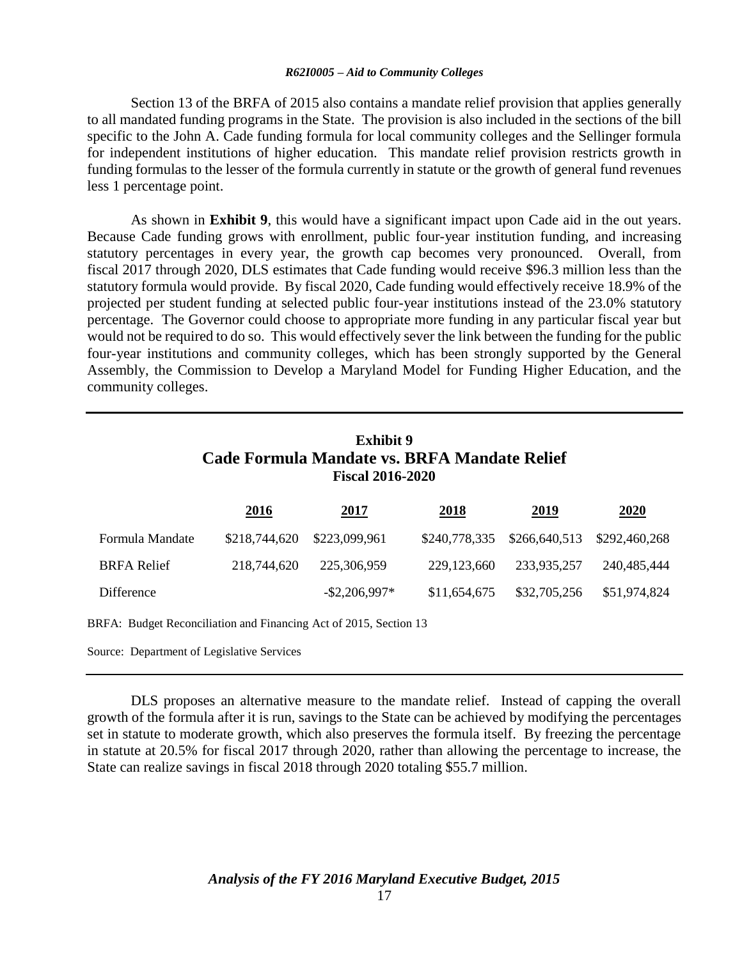Section 13 of the BRFA of 2015 also contains a mandate relief provision that applies generally to all mandated funding programs in the State. The provision is also included in the sections of the bill specific to the John A. Cade funding formula for local community colleges and the Sellinger formula for independent institutions of higher education. This mandate relief provision restricts growth in funding formulas to the lesser of the formula currently in statute or the growth of general fund revenues less 1 percentage point.

As shown in **Exhibit 9**, this would have a significant impact upon Cade aid in the out years. Because Cade funding grows with enrollment, public four-year institution funding, and increasing statutory percentages in every year, the growth cap becomes very pronounced. Overall, from fiscal 2017 through 2020, DLS estimates that Cade funding would receive \$96.3 million less than the statutory formula would provide. By fiscal 2020, Cade funding would effectively receive 18.9% of the projected per student funding at selected public four-year institutions instead of the 23.0% statutory percentage. The Governor could choose to appropriate more funding in any particular fiscal year but would not be required to do so. This would effectively sever the link between the funding for the public four-year institutions and community colleges, which has been strongly supported by the General Assembly, the Commission to Develop a Maryland Model for Funding Higher Education, and the community colleges.

## **Exhibit 9 Cade Formula Mandate vs. BRFA Mandate Relief Fiscal 2016-2020**

|                    | <u>2016</u>                 | 2017             | 2018         | 2019                                      | 2020         |
|--------------------|-----------------------------|------------------|--------------|-------------------------------------------|--------------|
| Formula Mandate    | \$218,744,620 \$223,099,961 |                  |              | \$240,778,335 \$266,640,513 \$292,460,268 |              |
| <b>BRFA Relief</b> | 218,744,620                 | 225,306,959      | 229,123,660  | 233.935.257                               | 240.485.444  |
| Difference         |                             | $-$ \$2,206,997* | \$11,654,675 | \$32,705,256                              | \$51,974,824 |

BRFA: Budget Reconciliation and Financing Act of 2015, Section 13

Source: Department of Legislative Services

DLS proposes an alternative measure to the mandate relief. Instead of capping the overall growth of the formula after it is run, savings to the State can be achieved by modifying the percentages set in statute to moderate growth, which also preserves the formula itself. By freezing the percentage in statute at 20.5% for fiscal 2017 through 2020, rather than allowing the percentage to increase, the State can realize savings in fiscal 2018 through 2020 totaling \$55.7 million.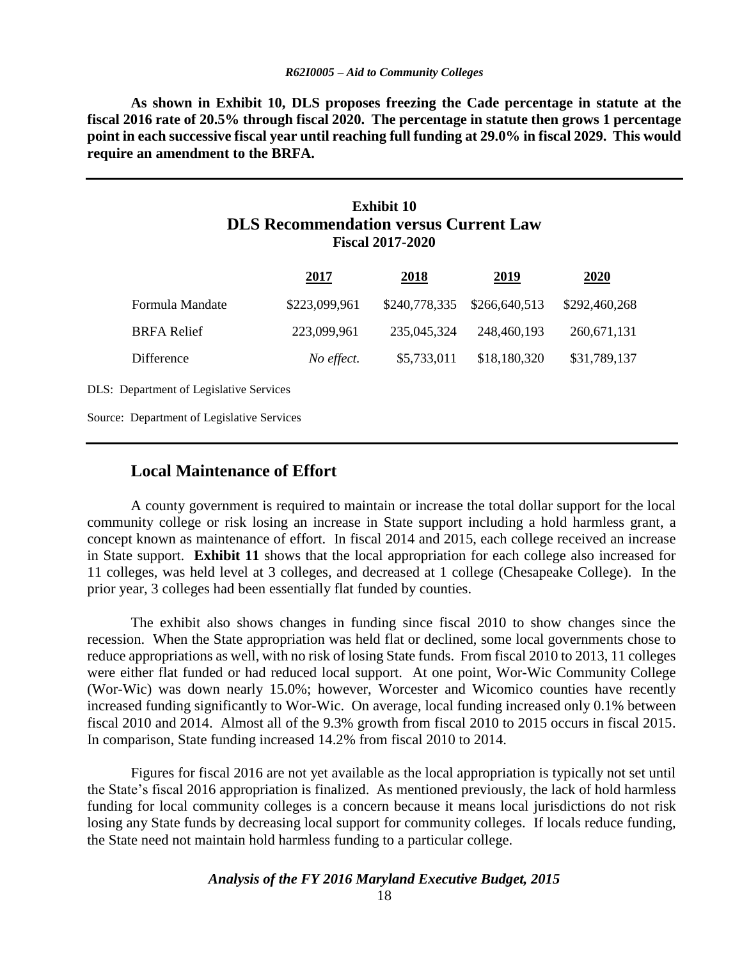**As shown in Exhibit 10, DLS proposes freezing the Cade percentage in statute at the fiscal 2016 rate of 20.5% through fiscal 2020. The percentage in statute then grows 1 percentage point in each successive fiscal year until reaching full funding at 29.0% in fiscal 2029. This would require an amendment to the BRFA.**

### **Exhibit 10 DLS Recommendation versus Current Law Fiscal 2017-2020**

|                                                | 2017          | 2018          | <u>2019</u>   | 2020          |
|------------------------------------------------|---------------|---------------|---------------|---------------|
| Formula Mandate                                | \$223,099,961 | \$240,778,335 | \$266,640,513 | \$292,460,268 |
| <b>BRFA Relief</b>                             | 223,099,961   | 235,045,324   | 248,460,193   | 260, 671, 131 |
| <b>Difference</b>                              | No effect.    | \$5,733,011   | \$18,180,320  | \$31,789,137  |
| <b>DLS:</b> Department of Legislative Services |               |               |               |               |
| Source: Department of Legislative Services     |               |               |               |               |

### **Local Maintenance of Effort**

A county government is required to maintain or increase the total dollar support for the local community college or risk losing an increase in State support including a hold harmless grant, a concept known as maintenance of effort. In fiscal 2014 and 2015, each college received an increase in State support. **Exhibit 11** shows that the local appropriation for each college also increased for 11 colleges, was held level at 3 colleges, and decreased at 1 college (Chesapeake College). In the prior year, 3 colleges had been essentially flat funded by counties.

The exhibit also shows changes in funding since fiscal 2010 to show changes since the recession. When the State appropriation was held flat or declined, some local governments chose to reduce appropriations as well, with no risk of losing State funds. From fiscal 2010 to 2013, 11 colleges were either flat funded or had reduced local support. At one point, Wor-Wic Community College (Wor-Wic) was down nearly 15.0%; however, Worcester and Wicomico counties have recently increased funding significantly to Wor-Wic. On average, local funding increased only 0.1% between fiscal 2010 and 2014. Almost all of the 9.3% growth from fiscal 2010 to 2015 occurs in fiscal 2015. In comparison, State funding increased 14.2% from fiscal 2010 to 2014.

Figures for fiscal 2016 are not yet available as the local appropriation is typically not set until the State's fiscal 2016 appropriation is finalized. As mentioned previously, the lack of hold harmless funding for local community colleges is a concern because it means local jurisdictions do not risk losing any State funds by decreasing local support for community colleges. If locals reduce funding, the State need not maintain hold harmless funding to a particular college.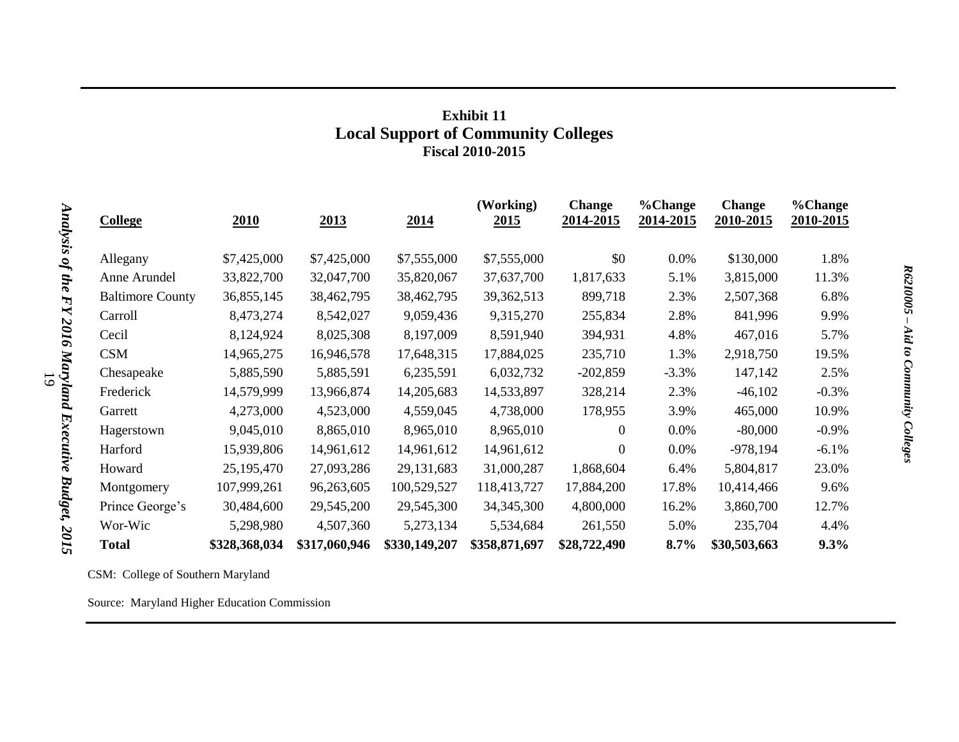## **Exhibit 11 Local Support of Community Colleges Fiscal 2010-2015**

| <b>College</b>          | <u>2010</u>   | 2013          | 2014          | (Working)<br><u>2015</u> | <b>Change</b><br>2014-2015 | %Change<br>2014-2015 | <b>Change</b><br>2010-2015 | %Change<br>2010-2015 |
|-------------------------|---------------|---------------|---------------|--------------------------|----------------------------|----------------------|----------------------------|----------------------|
|                         |               |               |               |                          |                            |                      |                            |                      |
| Allegany                | \$7,425,000   | \$7,425,000   | \$7,555,000   | \$7,555,000              | \$0                        | 0.0%                 | \$130,000                  | 1.8%                 |
| Anne Arundel            | 33,822,700    | 32,047,700    | 35,820,067    | 37,637,700               | 1,817,633                  | 5.1%                 | 3,815,000                  | 11.3%                |
| <b>Baltimore County</b> | 36,855,145    | 38,462,795    | 38,462,795    | 39, 362, 513             | 899,718                    | 2.3%                 | 2,507,368                  | 6.8%                 |
| Carroll                 | 8,473,274     | 8,542,027     | 9,059,436     | 9,315,270                | 255,834                    | 2.8%                 | 841,996                    | 9.9%                 |
| Cecil                   | 8,124,924     | 8,025,308     | 8,197,009     | 8,591,940                | 394,931                    | 4.8%                 | 467,016                    | 5.7%                 |
| <b>CSM</b>              | 14,965,275    | 16,946,578    | 17,648,315    | 17,884,025               | 235,710                    | 1.3%                 | 2,918,750                  | 19.5%                |
| Chesapeake              | 5,885,590     | 5,885,591     | 6,235,591     | 6,032,732                | $-202,859$                 | $-3.3%$              | 147,142                    | 2.5%                 |
| Frederick               | 14,579,999    | 13,966,874    | 14,205,683    | 14,533,897               | 328,214                    | 2.3%                 | $-46,102$                  | $-0.3%$              |
| Garrett                 | 4,273,000     | 4,523,000     | 4,559,045     | 4,738,000                | 178,955                    | 3.9%                 | 465,000                    | 10.9%                |
| Hagerstown              | 9,045,010     | 8,865,010     | 8,965,010     | 8,965,010                | $\Omega$                   | 0.0%                 | $-80,000$                  | $-0.9\%$             |
| Harford                 | 15,939,806    | 14,961,612    | 14,961,612    | 14,961,612               | $\theta$                   | 0.0%                 | $-978,194$                 | $-6.1%$              |
| Howard                  | 25,195,470    | 27,093,286    | 29,131,683    | 31,000,287               | 1,868,604                  | 6.4%                 | 5,804,817                  | 23.0%                |
| Montgomery              | 107,999,261   | 96,263,605    | 100,529,527   | 118,413,727              | 17,884,200                 | 17.8%                | 10,414,466                 | 9.6%                 |
| Prince George's         | 30,484,600    | 29,545,200    | 29,545,300    | 34, 345, 300             | 4,800,000                  | 16.2%                | 3,860,700                  | 12.7%                |
| Wor-Wic                 | 5,298,980     | 4,507,360     | 5,273,134     | 5,534,684                | 261,550                    | 5.0%                 | 235,704                    | 4.4%                 |
| <b>Total</b>            | \$328,368,034 | \$317,060,946 | \$330,149,207 | \$358,871,697            | \$28,722,490               | $8.7\%$              | \$30,503,663               | 9.3%                 |

CSM: College of Southern Maryland

Source: Maryland Higher Education Commission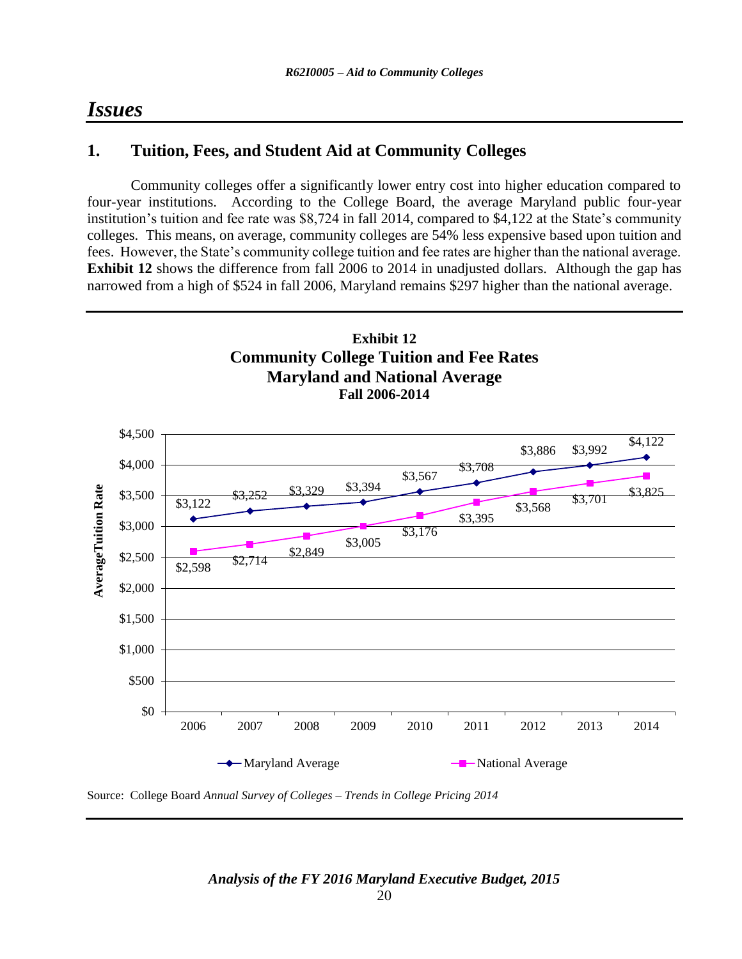## *Issues*

## **1. Tuition, Fees, and Student Aid at Community Colleges**

Community colleges offer a significantly lower entry cost into higher education compared to four-year institutions. According to the College Board, the average Maryland public four-year institution's tuition and fee rate was \$8,724 in fall 2014, compared to \$4,122 at the State's community colleges. This means, on average, community colleges are 54% less expensive based upon tuition and fees. However, the State's community college tuition and fee rates are higher than the national average. **Exhibit 12** shows the difference from fall 2006 to 2014 in unadjusted dollars. Although the gap has narrowed from a high of \$524 in fall 2006, Maryland remains \$297 higher than the national average.



Source: College Board *Annual Survey of Colleges – Trends in College Pricing 2014*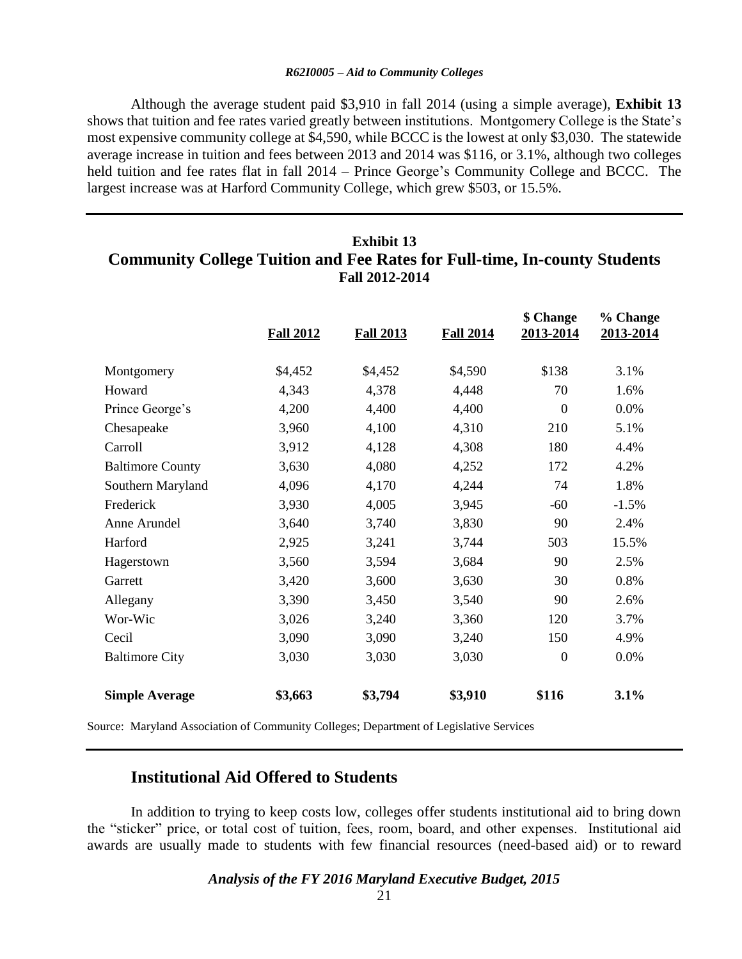Although the average student paid \$3,910 in fall 2014 (using a simple average), **Exhibit 13** shows that tuition and fee rates varied greatly between institutions. Montgomery College is the State's most expensive community college at \$4,590, while BCCC is the lowest at only \$3,030. The statewide average increase in tuition and fees between 2013 and 2014 was \$116, or 3.1%, although two colleges held tuition and fee rates flat in fall 2014 – Prince George's Community College and BCCC. The largest increase was at Harford Community College, which grew \$503, or 15.5%.

## **Exhibit 13 Community College Tuition and Fee Rates for Full-time, In-county Students Fall 2012-2014**

|                         | <b>Fall 2012</b> | <b>Fall 2013</b> | <b>Fall 2014</b> | \$ Change<br>2013-2014 | % Change<br>2013-2014 |
|-------------------------|------------------|------------------|------------------|------------------------|-----------------------|
| Montgomery              | \$4,452          | \$4,452          | \$4,590          | \$138                  | 3.1%                  |
| Howard                  | 4,343            | 4,378            | 4,448            | 70                     | 1.6%                  |
| Prince George's         | 4,200            | 4,400            | 4,400            | $\boldsymbol{0}$       | 0.0%                  |
| Chesapeake              | 3,960            | 4,100            | 4,310            | 210                    | 5.1%                  |
| Carroll                 | 3,912            | 4,128            | 4,308            | 180                    | 4.4%                  |
| <b>Baltimore County</b> | 3,630            | 4,080            | 4,252            | 172                    | 4.2%                  |
| Southern Maryland       | 4,096            | 4,170            | 4,244            | 74                     | 1.8%                  |
| Frederick               | 3,930            | 4,005            | 3,945            | $-60$                  | $-1.5%$               |
| Anne Arundel            | 3,640            | 3,740            | 3,830            | 90                     | 2.4%                  |
| Harford                 | 2,925            | 3,241            | 3,744            | 503                    | 15.5%                 |
| Hagerstown              | 3,560            | 3,594            | 3,684            | 90                     | 2.5%                  |
| Garrett                 | 3,420            | 3,600            | 3,630            | 30                     | 0.8%                  |
| Allegany                | 3,390            | 3,450            | 3,540            | 90                     | 2.6%                  |
| Wor-Wic                 | 3,026            | 3,240            | 3,360            | 120                    | 3.7%                  |
| Cecil                   | 3,090            | 3,090            | 3,240            | 150                    | 4.9%                  |
| <b>Baltimore City</b>   | 3,030            | 3,030            | 3,030            | $\mathbf{0}$           | 0.0%                  |
| <b>Simple Average</b>   | \$3,663          | \$3,794          | \$3,910          | \$116                  | 3.1%                  |

Source: Maryland Association of Community Colleges; Department of Legislative Services

### **Institutional Aid Offered to Students**

In addition to trying to keep costs low, colleges offer students institutional aid to bring down the "sticker" price, or total cost of tuition, fees, room, board, and other expenses. Institutional aid awards are usually made to students with few financial resources (need-based aid) or to reward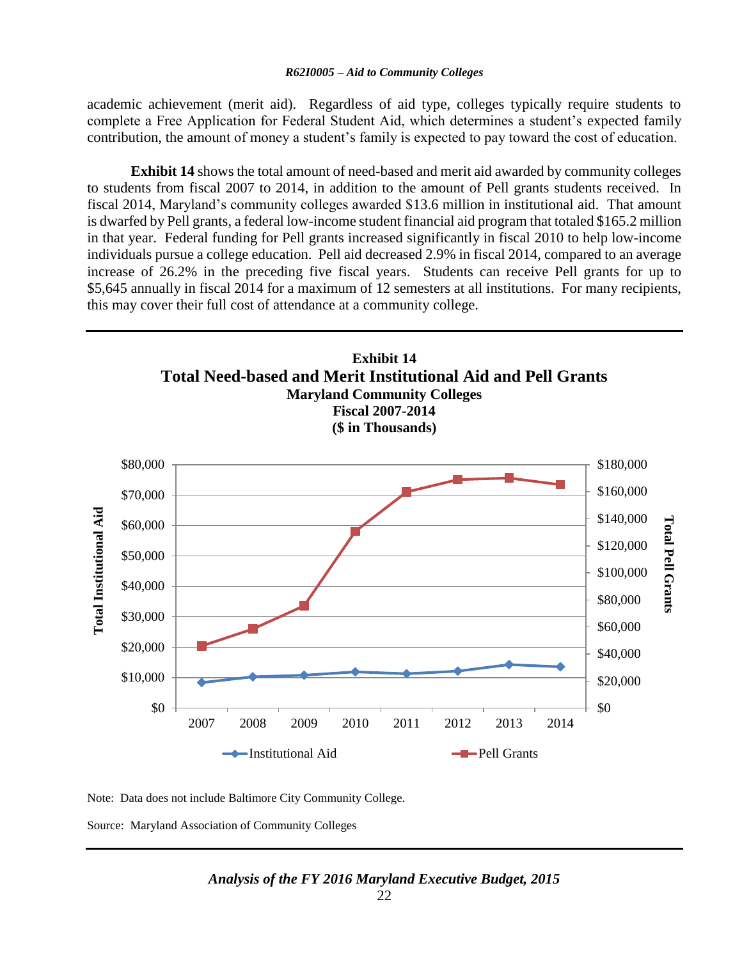academic achievement (merit aid). Regardless of aid type, colleges typically require students to complete a Free Application for Federal Student Aid, which determines a student's expected family contribution, the amount of money a student's family is expected to pay toward the cost of education.

**Exhibit 14** shows the total amount of need-based and merit aid awarded by community colleges to students from fiscal 2007 to 2014, in addition to the amount of Pell grants students received. In fiscal 2014, Maryland's community colleges awarded \$13.6 million in institutional aid. That amount is dwarfed by Pell grants, a federal low-income student financial aid program that totaled \$165.2 million in that year. Federal funding for Pell grants increased significantly in fiscal 2010 to help low-income individuals pursue a college education. Pell aid decreased 2.9% in fiscal 2014, compared to an average increase of 26.2% in the preceding five fiscal years. Students can receive Pell grants for up to \$5,645 annually in fiscal 2014 for a maximum of 12 semesters at all institutions. For many recipients, this may cover their full cost of attendance at a community college.



Note: Data does not include Baltimore City Community College.

Source: Maryland Association of Community Colleges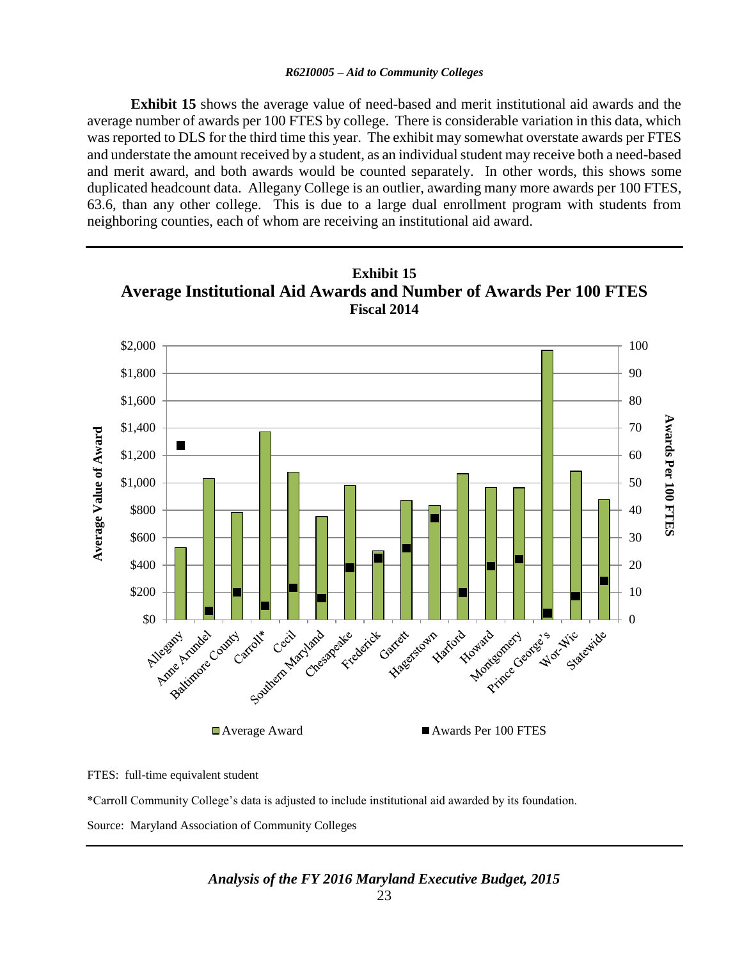**Exhibit 15** shows the average value of need-based and merit institutional aid awards and the average number of awards per 100 FTES by college. There is considerable variation in this data, which was reported to DLS for the third time this year. The exhibit may somewhat overstate awards per FTES and understate the amount received by a student, as an individual student may receive both a need-based and merit award, and both awards would be counted separately. In other words, this shows some duplicated headcount data. Allegany College is an outlier, awarding many more awards per 100 FTES, 63.6, than any other college. This is due to a large dual enrollment program with students from neighboring counties, each of whom are receiving an institutional aid award.



FTES: full-time equivalent student

\*Carroll Community College's data is adjusted to include institutional aid awarded by its foundation.

Source: Maryland Association of Community Colleges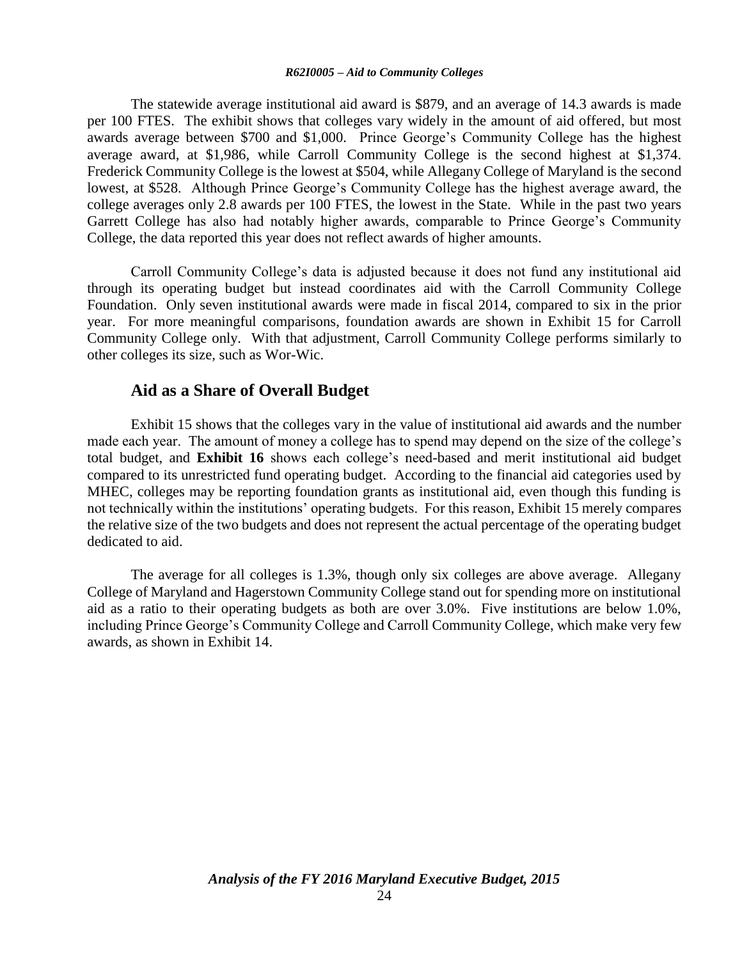The statewide average institutional aid award is \$879, and an average of 14.3 awards is made per 100 FTES. The exhibit shows that colleges vary widely in the amount of aid offered, but most awards average between \$700 and \$1,000. Prince George's Community College has the highest average award, at \$1,986, while Carroll Community College is the second highest at \$1,374. Frederick Community College is the lowest at \$504, while Allegany College of Maryland is the second lowest, at \$528. Although Prince George's Community College has the highest average award, the college averages only 2.8 awards per 100 FTES, the lowest in the State. While in the past two years Garrett College has also had notably higher awards, comparable to Prince George's Community College, the data reported this year does not reflect awards of higher amounts.

Carroll Community College's data is adjusted because it does not fund any institutional aid through its operating budget but instead coordinates aid with the Carroll Community College Foundation. Only seven institutional awards were made in fiscal 2014, compared to six in the prior year. For more meaningful comparisons, foundation awards are shown in Exhibit 15 for Carroll Community College only. With that adjustment, Carroll Community College performs similarly to other colleges its size, such as Wor-Wic.

### **Aid as a Share of Overall Budget**

Exhibit 15 shows that the colleges vary in the value of institutional aid awards and the number made each year. The amount of money a college has to spend may depend on the size of the college's total budget, and **Exhibit 16** shows each college's need-based and merit institutional aid budget compared to its unrestricted fund operating budget. According to the financial aid categories used by MHEC, colleges may be reporting foundation grants as institutional aid, even though this funding is not technically within the institutions' operating budgets. For this reason, Exhibit 15 merely compares the relative size of the two budgets and does not represent the actual percentage of the operating budget dedicated to aid.

The average for all colleges is 1.3%, though only six colleges are above average. Allegany College of Maryland and Hagerstown Community College stand out for spending more on institutional aid as a ratio to their operating budgets as both are over 3.0%. Five institutions are below 1.0%, including Prince George's Community College and Carroll Community College, which make very few awards, as shown in Exhibit 14.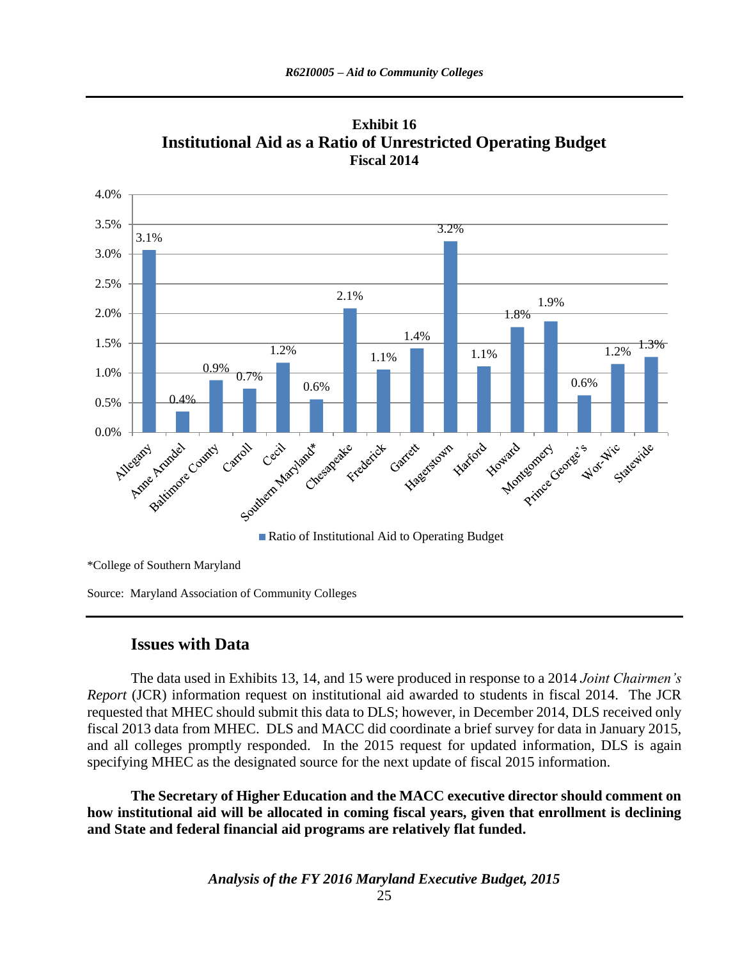

**Exhibit 16 Institutional Aid as a Ratio of Unrestricted Operating Budget Fiscal 2014**

\*College of Southern Maryland

Source: Maryland Association of Community Colleges

### **Issues with Data**

The data used in Exhibits 13, 14, and 15 were produced in response to a 2014 *Joint Chairmen's Report* (JCR) information request on institutional aid awarded to students in fiscal 2014. The JCR requested that MHEC should submit this data to DLS; however, in December 2014, DLS received only fiscal 2013 data from MHEC. DLS and MACC did coordinate a brief survey for data in January 2015, and all colleges promptly responded. In the 2015 request for updated information, DLS is again specifying MHEC as the designated source for the next update of fiscal 2015 information.

**The Secretary of Higher Education and the MACC executive director should comment on how institutional aid will be allocated in coming fiscal years, given that enrollment is declining and State and federal financial aid programs are relatively flat funded.**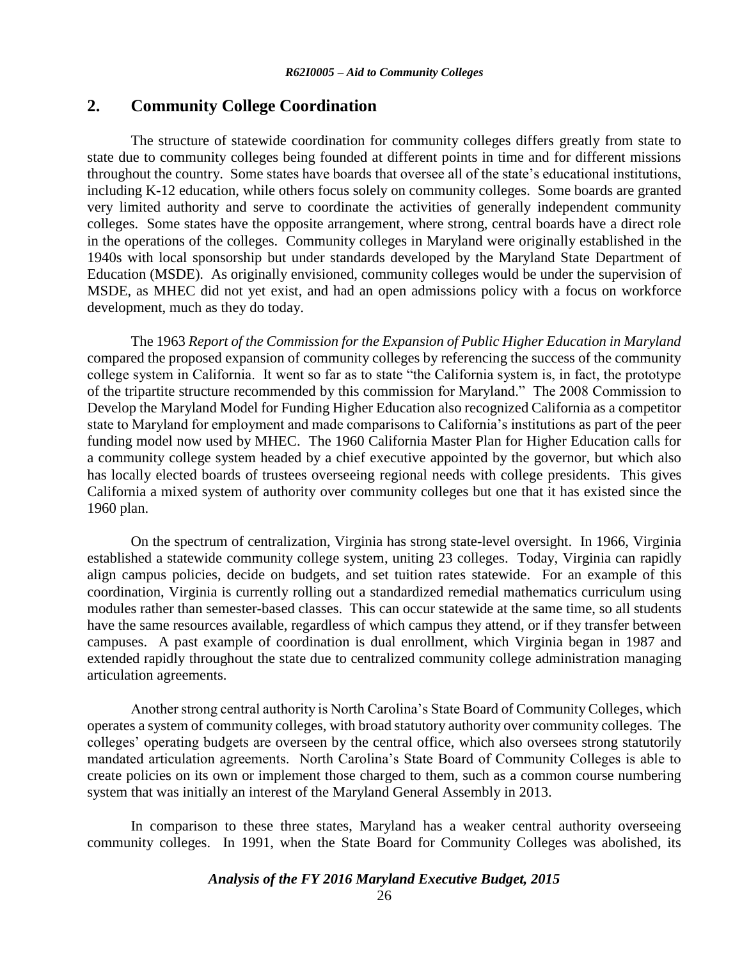### **2. Community College Coordination**

The structure of statewide coordination for community colleges differs greatly from state to state due to community colleges being founded at different points in time and for different missions throughout the country. Some states have boards that oversee all of the state's educational institutions, including K-12 education, while others focus solely on community colleges. Some boards are granted very limited authority and serve to coordinate the activities of generally independent community colleges. Some states have the opposite arrangement, where strong, central boards have a direct role in the operations of the colleges. Community colleges in Maryland were originally established in the 1940s with local sponsorship but under standards developed by the Maryland State Department of Education (MSDE). As originally envisioned, community colleges would be under the supervision of MSDE, as MHEC did not yet exist, and had an open admissions policy with a focus on workforce development, much as they do today.

The 1963 *Report of the Commission for the Expansion of Public Higher Education in Maryland* compared the proposed expansion of community colleges by referencing the success of the community college system in California. It went so far as to state "the California system is, in fact, the prototype of the tripartite structure recommended by this commission for Maryland." The 2008 Commission to Develop the Maryland Model for Funding Higher Education also recognized California as a competitor state to Maryland for employment and made comparisons to California's institutions as part of the peer funding model now used by MHEC. The 1960 California Master Plan for Higher Education calls for a community college system headed by a chief executive appointed by the governor, but which also has locally elected boards of trustees overseeing regional needs with college presidents. This gives California a mixed system of authority over community colleges but one that it has existed since the 1960 plan.

On the spectrum of centralization, Virginia has strong state-level oversight. In 1966, Virginia established a statewide community college system, uniting 23 colleges. Today, Virginia can rapidly align campus policies, decide on budgets, and set tuition rates statewide. For an example of this coordination, Virginia is currently rolling out a standardized remedial mathematics curriculum using modules rather than semester-based classes. This can occur statewide at the same time, so all students have the same resources available, regardless of which campus they attend, or if they transfer between campuses. A past example of coordination is dual enrollment, which Virginia began in 1987 and extended rapidly throughout the state due to centralized community college administration managing articulation agreements.

Another strong central authority is North Carolina's State Board of Community Colleges, which operates a system of community colleges, with broad statutory authority over community colleges. The colleges' operating budgets are overseen by the central office, which also oversees strong statutorily mandated articulation agreements. North Carolina's State Board of Community Colleges is able to create policies on its own or implement those charged to them, such as a common course numbering system that was initially an interest of the Maryland General Assembly in 2013.

In comparison to these three states, Maryland has a weaker central authority overseeing community colleges. In 1991, when the State Board for Community Colleges was abolished, its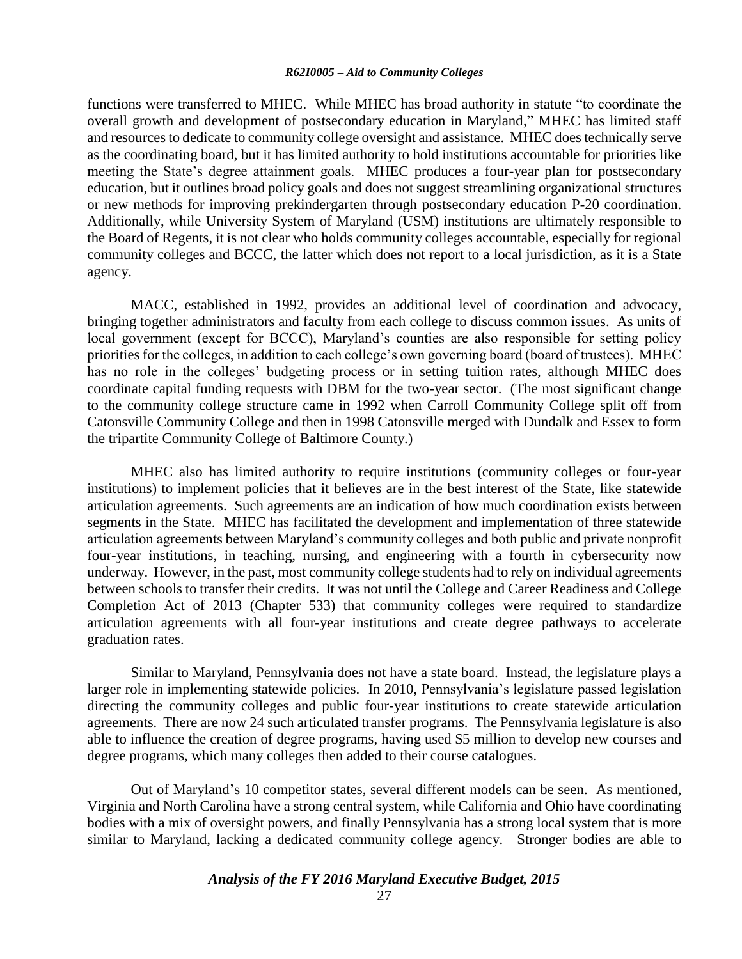functions were transferred to MHEC. While MHEC has broad authority in statute "to coordinate the overall growth and development of postsecondary education in Maryland," MHEC has limited staff and resources to dedicate to community college oversight and assistance. MHEC does technically serve as the coordinating board, but it has limited authority to hold institutions accountable for priorities like meeting the State's degree attainment goals. MHEC produces a four-year plan for postsecondary education, but it outlines broad policy goals and does not suggest streamlining organizational structures or new methods for improving prekindergarten through postsecondary education P-20 coordination. Additionally, while University System of Maryland (USM) institutions are ultimately responsible to the Board of Regents, it is not clear who holds community colleges accountable, especially for regional community colleges and BCCC, the latter which does not report to a local jurisdiction, as it is a State agency.

MACC, established in 1992, provides an additional level of coordination and advocacy, bringing together administrators and faculty from each college to discuss common issues. As units of local government (except for BCCC), Maryland's counties are also responsible for setting policy priorities for the colleges, in addition to each college's own governing board (board of trustees). MHEC has no role in the colleges' budgeting process or in setting tuition rates, although MHEC does coordinate capital funding requests with DBM for the two-year sector. (The most significant change to the community college structure came in 1992 when Carroll Community College split off from Catonsville Community College and then in 1998 Catonsville merged with Dundalk and Essex to form the tripartite Community College of Baltimore County.)

MHEC also has limited authority to require institutions (community colleges or four-year institutions) to implement policies that it believes are in the best interest of the State, like statewide articulation agreements. Such agreements are an indication of how much coordination exists between segments in the State. MHEC has facilitated the development and implementation of three statewide articulation agreements between Maryland's community colleges and both public and private nonprofit four-year institutions, in teaching, nursing, and engineering with a fourth in cybersecurity now underway. However, in the past, most community college students had to rely on individual agreements between schools to transfer their credits. It was not until the College and Career Readiness and College Completion Act of 2013 (Chapter 533) that community colleges were required to standardize articulation agreements with all four-year institutions and create degree pathways to accelerate graduation rates.

Similar to Maryland, Pennsylvania does not have a state board. Instead, the legislature plays a larger role in implementing statewide policies. In 2010, Pennsylvania's legislature passed legislation directing the community colleges and public four-year institutions to create statewide articulation agreements. There are now 24 such articulated transfer programs. The Pennsylvania legislature is also able to influence the creation of degree programs, having used \$5 million to develop new courses and degree programs, which many colleges then added to their course catalogues.

Out of Maryland's 10 competitor states, several different models can be seen. As mentioned, Virginia and North Carolina have a strong central system, while California and Ohio have coordinating bodies with a mix of oversight powers, and finally Pennsylvania has a strong local system that is more similar to Maryland, lacking a dedicated community college agency.Stronger bodies are able to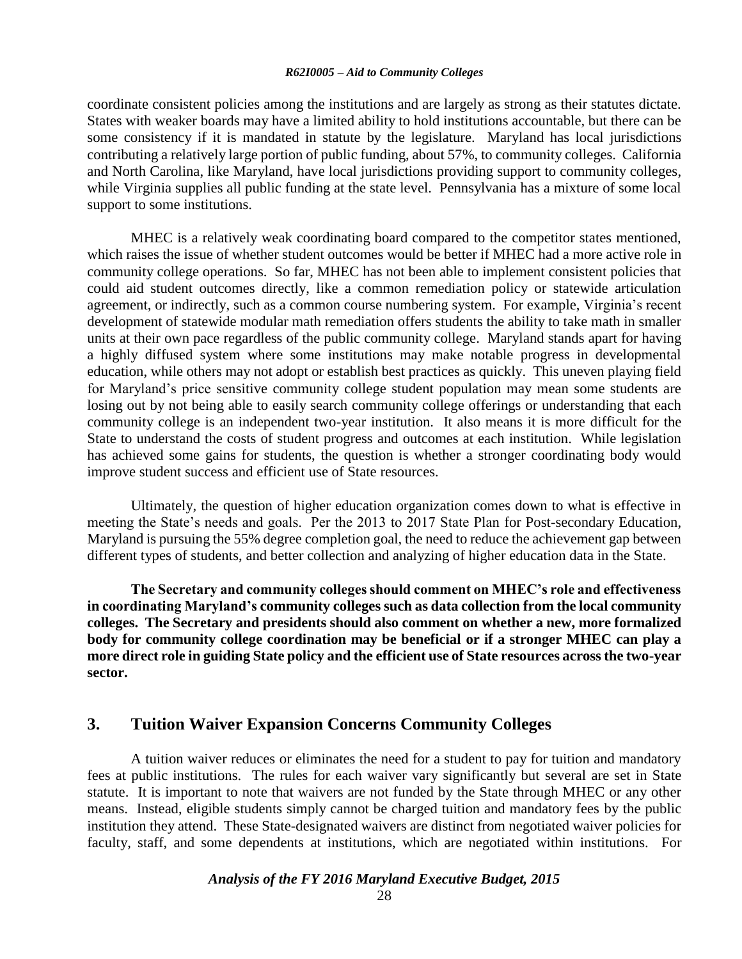coordinate consistent policies among the institutions and are largely as strong as their statutes dictate. States with weaker boards may have a limited ability to hold institutions accountable, but there can be some consistency if it is mandated in statute by the legislature. Maryland has local jurisdictions contributing a relatively large portion of public funding, about 57%, to community colleges. California and North Carolina, like Maryland, have local jurisdictions providing support to community colleges, while Virginia supplies all public funding at the state level. Pennsylvania has a mixture of some local support to some institutions.

MHEC is a relatively weak coordinating board compared to the competitor states mentioned, which raises the issue of whether student outcomes would be better if MHEC had a more active role in community college operations. So far, MHEC has not been able to implement consistent policies that could aid student outcomes directly, like a common remediation policy or statewide articulation agreement, or indirectly, such as a common course numbering system. For example, Virginia's recent development of statewide modular math remediation offers students the ability to take math in smaller units at their own pace regardless of the public community college. Maryland stands apart for having a highly diffused system where some institutions may make notable progress in developmental education, while others may not adopt or establish best practices as quickly. This uneven playing field for Maryland's price sensitive community college student population may mean some students are losing out by not being able to easily search community college offerings or understanding that each community college is an independent two-year institution. It also means it is more difficult for the State to understand the costs of student progress and outcomes at each institution. While legislation has achieved some gains for students, the question is whether a stronger coordinating body would improve student success and efficient use of State resources.

Ultimately, the question of higher education organization comes down to what is effective in meeting the State's needs and goals. Per the 2013 to 2017 State Plan for Post-secondary Education, Maryland is pursuing the 55% degree completion goal, the need to reduce the achievement gap between different types of students, and better collection and analyzing of higher education data in the State.

**The Secretary and community colleges should comment on MHEC's role and effectiveness in coordinating Maryland's community colleges such as data collection from the local community colleges. The Secretary and presidents should also comment on whether a new, more formalized body for community college coordination may be beneficial or if a stronger MHEC can play a more direct role in guiding State policy and the efficient use of State resources across the two-year sector.**

### **3. Tuition Waiver Expansion Concerns Community Colleges**

A tuition waiver reduces or eliminates the need for a student to pay for tuition and mandatory fees at public institutions. The rules for each waiver vary significantly but several are set in State statute. It is important to note that waivers are not funded by the State through MHEC or any other means. Instead, eligible students simply cannot be charged tuition and mandatory fees by the public institution they attend. These State-designated waivers are distinct from negotiated waiver policies for faculty, staff, and some dependents at institutions, which are negotiated within institutions. For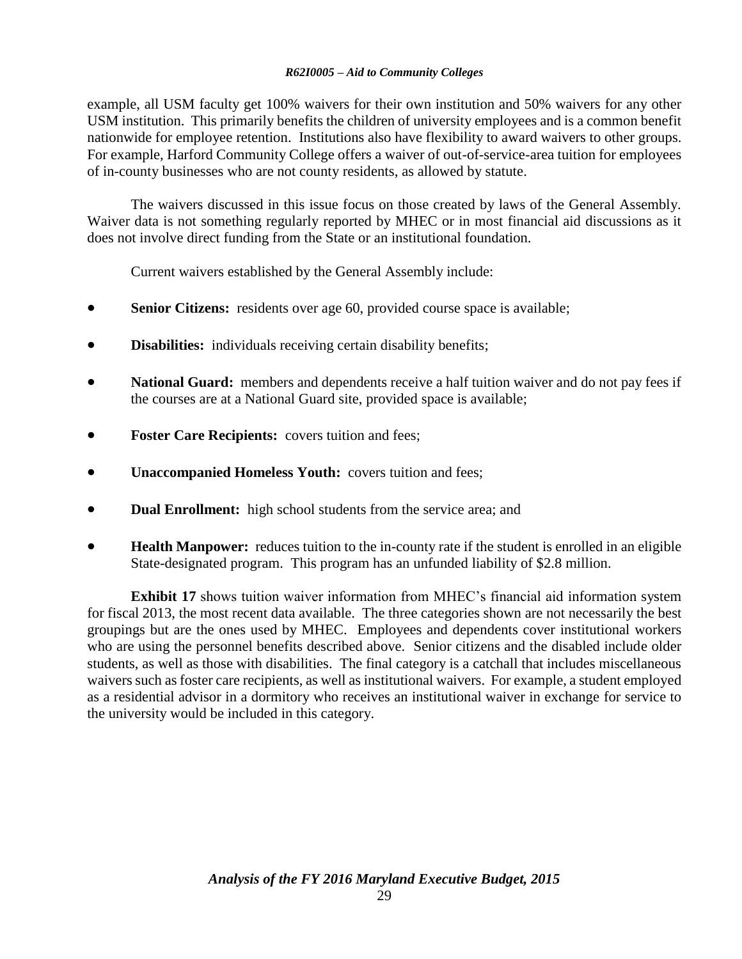example, all USM faculty get 100% waivers for their own institution and 50% waivers for any other USM institution. This primarily benefits the children of university employees and is a common benefit nationwide for employee retention. Institutions also have flexibility to award waivers to other groups. For example, Harford Community College offers a waiver of out-of-service-area tuition for employees of in-county businesses who are not county residents, as allowed by statute.

The waivers discussed in this issue focus on those created by laws of the General Assembly. Waiver data is not something regularly reported by MHEC or in most financial aid discussions as it does not involve direct funding from the State or an institutional foundation.

Current waivers established by the General Assembly include:

- **Senior Citizens:** residents over age 60, provided course space is available;
- **Disabilities:** individuals receiving certain disability benefits;
- **National Guard:** members and dependents receive a half tuition waiver and do not pay fees if the courses are at a National Guard site, provided space is available;
- **Foster Care Recipients:** covers tuition and fees;
- **•** Unaccompanied Homeless Youth: covers tuition and fees;
- **Dual Enrollment:** high school students from the service area; and
- **Health Manpower:** reduces tuition to the in-county rate if the student is enrolled in an eligible State-designated program. This program has an unfunded liability of \$2.8 million.

**Exhibit 17** shows tuition waiver information from MHEC's financial aid information system for fiscal 2013, the most recent data available. The three categories shown are not necessarily the best groupings but are the ones used by MHEC. Employees and dependents cover institutional workers who are using the personnel benefits described above. Senior citizens and the disabled include older students, as well as those with disabilities. The final category is a catchall that includes miscellaneous waivers such as foster care recipients, as well as institutional waivers. For example, a student employed as a residential advisor in a dormitory who receives an institutional waiver in exchange for service to the university would be included in this category.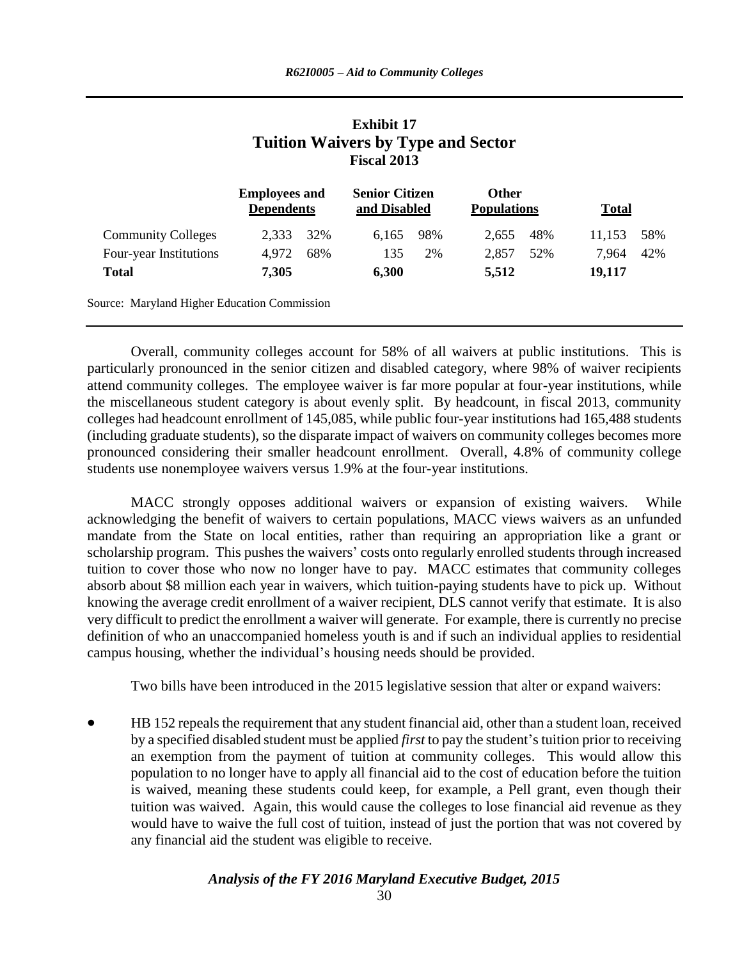|                           |                                           |     | Tuition waivers by Type and Sector<br><b>Fiscal 2013</b> |     |                                    |     |              |     |
|---------------------------|-------------------------------------------|-----|----------------------------------------------------------|-----|------------------------------------|-----|--------------|-----|
|                           | <b>Employees and</b><br><b>Dependents</b> |     | <b>Senior Citizen</b><br>and Disabled                    |     | <b>Other</b><br><b>Populations</b> |     | <b>Total</b> |     |
| <b>Community Colleges</b> | 2,333                                     | 32% | 6.165                                                    | 98% | 2.655                              | 48% | 11.153       | 58% |
| Four-year Institutions    | 4,972                                     | 68% | 135                                                      | 2%  | 2,857                              | 52% | 7,964        | 42% |
| <b>Total</b>              | 7,305                                     |     | 6,300                                                    |     | 5,512                              |     | 19,117       |     |

# **Exhibit 17 Tuition Waivers by Type and Sector**

Overall, community colleges account for 58% of all waivers at public institutions. This is particularly pronounced in the senior citizen and disabled category, where 98% of waiver recipients attend community colleges. The employee waiver is far more popular at four-year institutions, while the miscellaneous student category is about evenly split. By headcount, in fiscal 2013, community colleges had headcount enrollment of 145,085, while public four-year institutions had 165,488 students (including graduate students), so the disparate impact of waivers on community colleges becomes more pronounced considering their smaller headcount enrollment. Overall, 4.8% of community college students use nonemployee waivers versus 1.9% at the four-year institutions.

MACC strongly opposes additional waivers or expansion of existing waivers. While acknowledging the benefit of waivers to certain populations, MACC views waivers as an unfunded mandate from the State on local entities, rather than requiring an appropriation like a grant or scholarship program. This pushes the waivers' costs onto regularly enrolled students through increased tuition to cover those who now no longer have to pay. MACC estimates that community colleges absorb about \$8 million each year in waivers, which tuition-paying students have to pick up. Without knowing the average credit enrollment of a waiver recipient, DLS cannot verify that estimate. It is also very difficult to predict the enrollment a waiver will generate. For example, there is currently no precise definition of who an unaccompanied homeless youth is and if such an individual applies to residential campus housing, whether the individual's housing needs should be provided.

Two bills have been introduced in the 2015 legislative session that alter or expand waivers:

 HB 152 repeals the requirement that any student financial aid, other than a student loan, received by a specified disabled student must be applied *first* to pay the student's tuition prior to receiving an exemption from the payment of tuition at community colleges. This would allow this population to no longer have to apply all financial aid to the cost of education before the tuition is waived, meaning these students could keep, for example, a Pell grant, even though their tuition was waived. Again, this would cause the colleges to lose financial aid revenue as they would have to waive the full cost of tuition, instead of just the portion that was not covered by any financial aid the student was eligible to receive.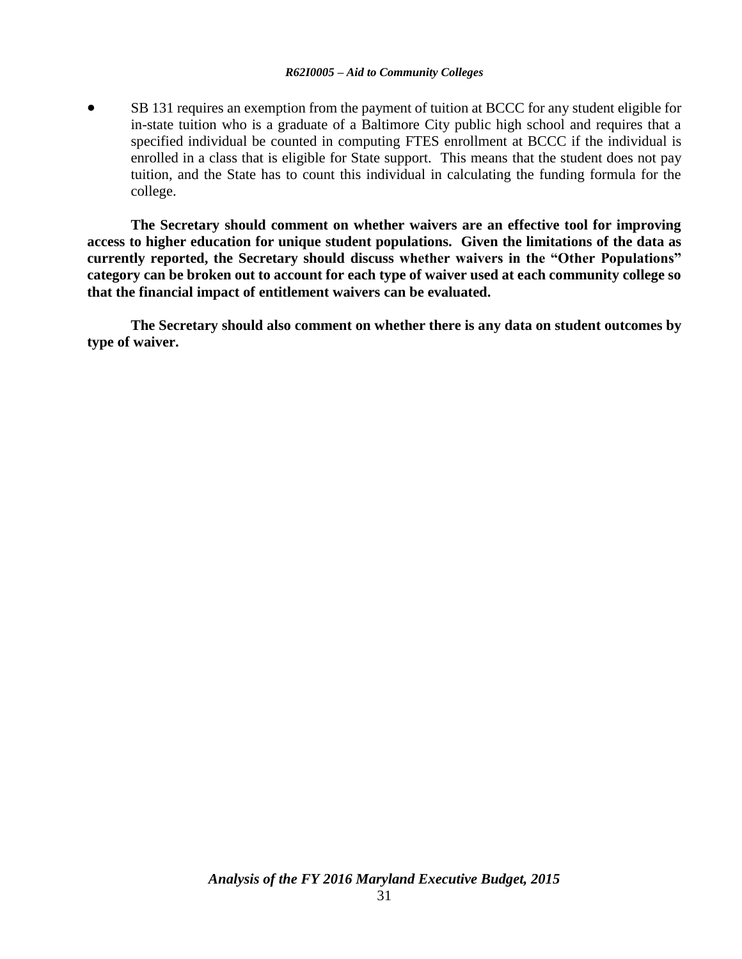SB 131 requires an exemption from the payment of tuition at BCCC for any student eligible for in-state tuition who is a graduate of a Baltimore City public high school and requires that a specified individual be counted in computing FTES enrollment at BCCC if the individual is enrolled in a class that is eligible for State support. This means that the student does not pay tuition, and the State has to count this individual in calculating the funding formula for the college.

**The Secretary should comment on whether waivers are an effective tool for improving access to higher education for unique student populations. Given the limitations of the data as currently reported, the Secretary should discuss whether waivers in the "Other Populations" category can be broken out to account for each type of waiver used at each community college so that the financial impact of entitlement waivers can be evaluated.** 

**The Secretary should also comment on whether there is any data on student outcomes by type of waiver.**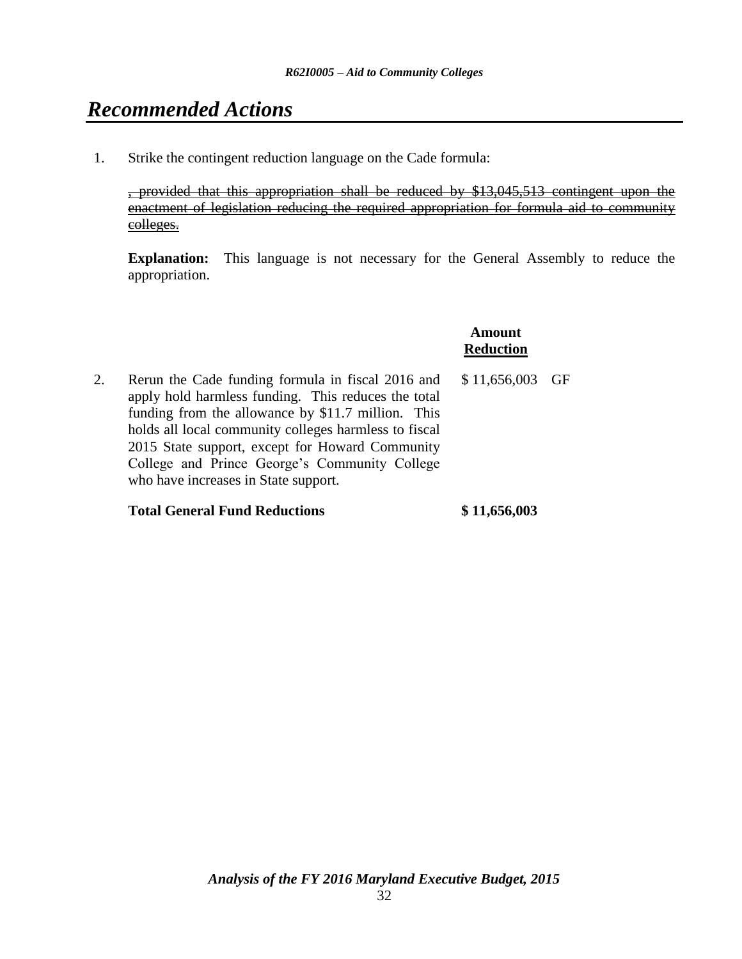# *Recommended Actions*

1. Strike the contingent reduction language on the Cade formula:

, provided that this appropriation shall be reduced by \$13,045,513 contingent upon the enactment of legislation reducing the required appropriation for formula aid to community colleges.

**Explanation:** This language is not necessary for the General Assembly to reduce the appropriation.

> **Amount Reduction**

2. Rerun the Cade funding formula in fiscal 2016 and apply hold harmless funding. This reduces the total funding from the allowance by \$11.7 million. This holds all local community colleges harmless to fiscal 2015 State support, except for Howard Community College and Prince George's Community College who have increases in State support. \$ 11,656,003 GF

### **Total General Fund Reductions \$ 11,656,003**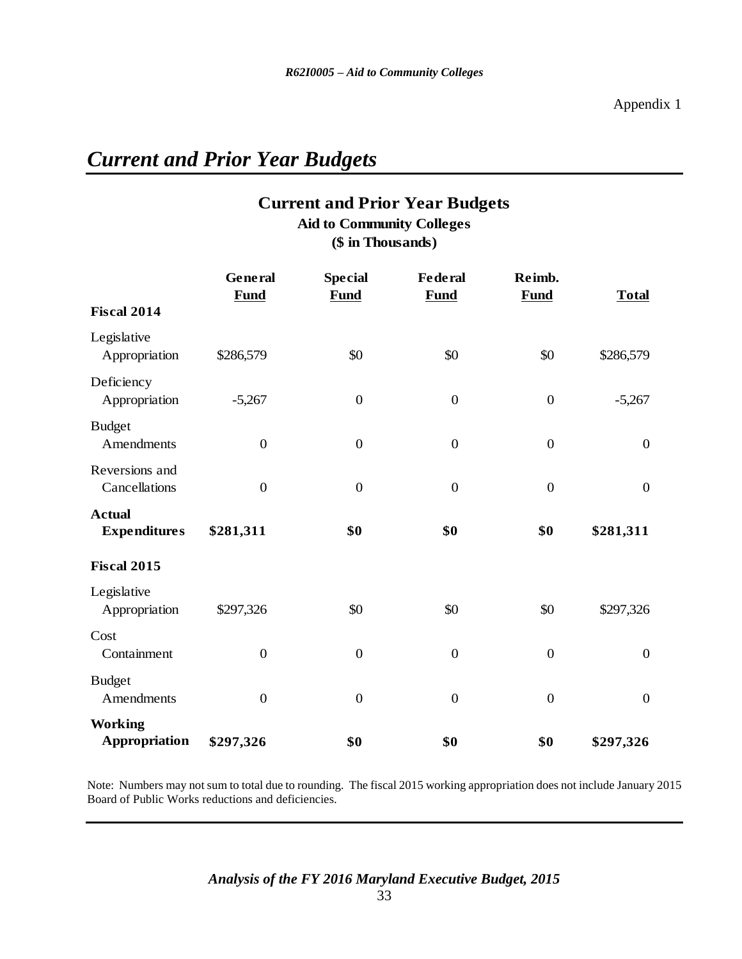# *Current and Prior Year Budgets*

# **Current and Prior Year Budgets Aid to Community Colleges**

**(\$ in Thousands)**

|                                        | General          | <b>Special</b>   | <b>Federal</b>   | Reimb.           |                  |
|----------------------------------------|------------------|------------------|------------------|------------------|------------------|
| <b>Fiscal 2014</b>                     | <b>Fund</b>      | Fund             | <b>Fund</b>      | <b>Fund</b>      | <b>Total</b>     |
| Legislative<br>Appropriation           | \$286,579        | \$0              | \$0              | \$0              | \$286,579        |
| Deficiency<br>Appropriation            | $-5,267$         | $\mathbf{0}$     | $\boldsymbol{0}$ | $\boldsymbol{0}$ | $-5,267$         |
| <b>Budget</b><br>Amendments            | $\boldsymbol{0}$ | $\mathbf{0}$     | $\boldsymbol{0}$ | $\boldsymbol{0}$ | $\boldsymbol{0}$ |
| Reversions and<br>Cancellations        | $\mathbf{0}$     | $\mathbf{0}$     | $\mathbf{0}$     | $\mathbf{0}$     | $\overline{0}$   |
| <b>Actual</b><br><b>Expenditures</b>   | \$281,311        | \$0              | \$0              | \$0              | \$281,311        |
| Fiscal 2015                            |                  |                  |                  |                  |                  |
| Legislative<br>Appropriation           | \$297,326        | \$0              | \$0              | \$0              | \$297,326        |
| Cost<br>Containment                    | $\boldsymbol{0}$ | $\boldsymbol{0}$ | $\boldsymbol{0}$ | $\boldsymbol{0}$ | $\boldsymbol{0}$ |
| <b>Budget</b><br>Amendments            | $\boldsymbol{0}$ | $\mathbf{0}$     | $\boldsymbol{0}$ | $\mathbf{0}$     | $\overline{0}$   |
| <b>Working</b><br><b>Appropriation</b> | \$297,326        | \$0              | \$0              | \$0              | \$297,326        |

Note: Numbers may not sum to total due to rounding. The fiscal 2015 working appropriation does not include January 2015 Board of Public Works reductions and deficiencies.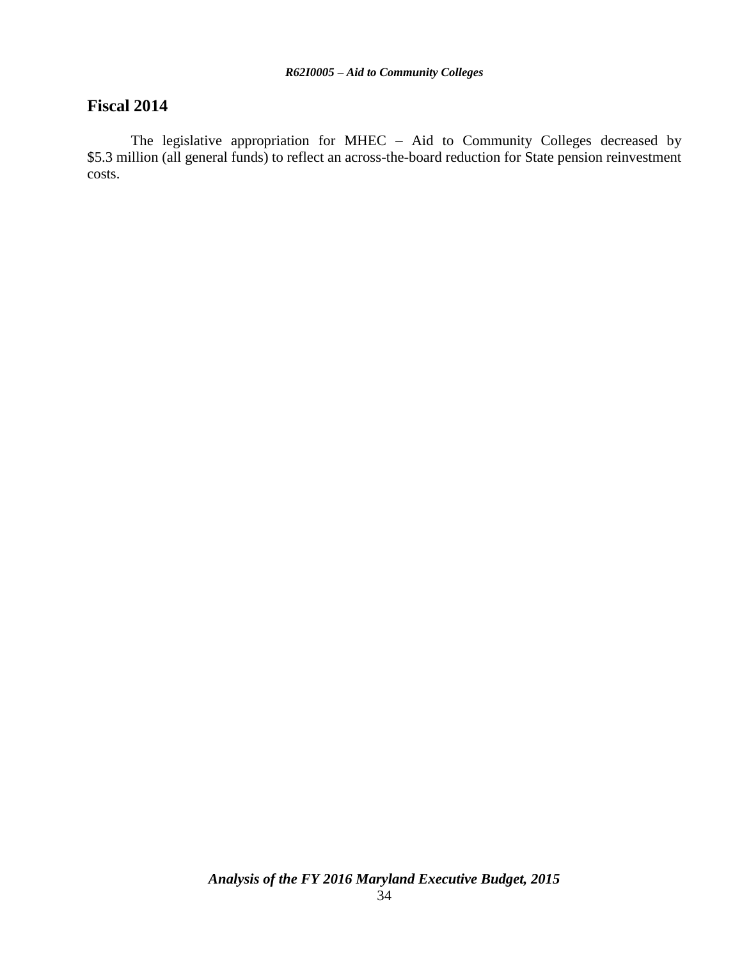## **Fiscal 2014**

The legislative appropriation for MHEC – Aid to Community Colleges decreased by \$5.3 million (all general funds) to reflect an across-the-board reduction for State pension reinvestment costs.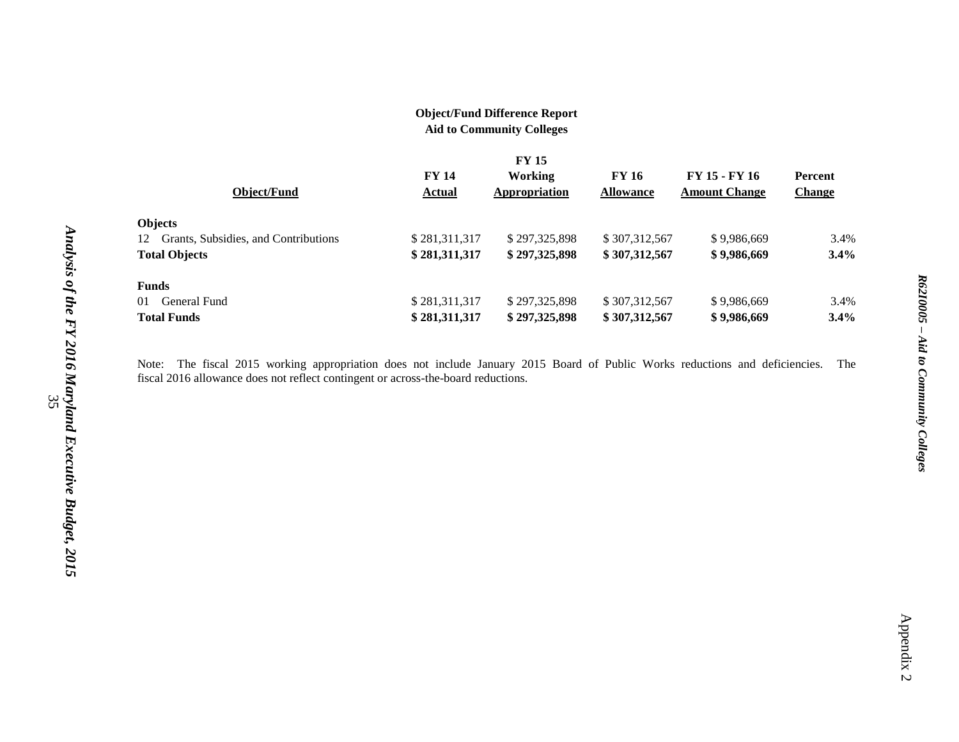## **Object/Fund Difference Report**

**Aid to Community Colleges**

|                                            | <b>FY 15</b>  |                |                  |                      |                |
|--------------------------------------------|---------------|----------------|------------------|----------------------|----------------|
|                                            | <b>FY 14</b>  | <b>Working</b> | FY 16            | FY 15 - FY 16        | <b>Percent</b> |
| Object/Fund                                | Actual        | Appropriation  | <b>Allowance</b> | <b>Amount Change</b> | <b>Change</b>  |
| <b>Objects</b>                             |               |                |                  |                      |                |
| Grants, Subsidies, and Contributions<br>12 | \$281,311,317 | \$297,325,898  | \$307,312,567    | \$9,986,669          | 3.4%           |
| <b>Total Objects</b>                       | \$281,311,317 | \$297,325,898  | \$307,312,567    | \$9,986,669          | 3.4%           |
| <b>Funds</b>                               |               |                |                  |                      |                |
| General Fund<br>01                         | \$281,311,317 | \$297,325,898  | \$307,312,567    | \$9,986,669          | 3.4%           |
| <b>Total Funds</b>                         | \$281,311,317 | \$297,325,898  | \$307,312,567    | \$9,986,669          | 3.4%           |

Note: The fiscal 2015 working appropriation does not include January 2015 Board of Public Works reductions and deficiencies. The fiscal 2016 allowance does not reflect contingent or across-the-board reductions.